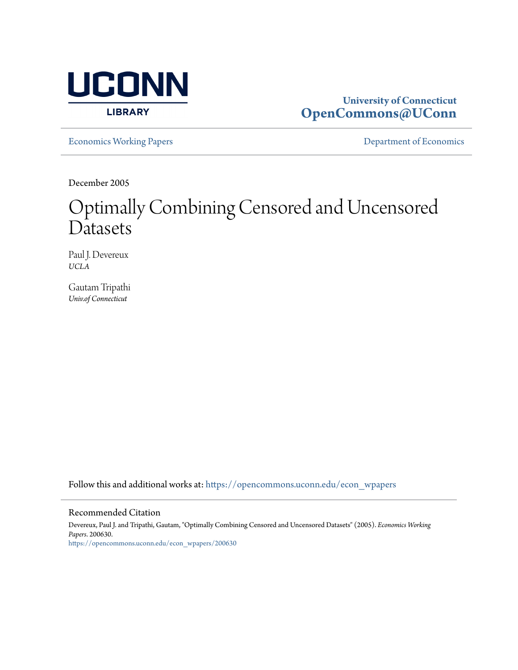

## **University of Connecticut [OpenCommons@UConn](https://opencommons.uconn.edu?utm_source=opencommons.uconn.edu%2Fecon_wpapers%2F200630&utm_medium=PDF&utm_campaign=PDFCoverPages)**

[Economics Working Papers](https://opencommons.uconn.edu/econ_wpapers?utm_source=opencommons.uconn.edu%2Fecon_wpapers%2F200630&utm_medium=PDF&utm_campaign=PDFCoverPages) **[Department of Economics](https://opencommons.uconn.edu/econ?utm_source=opencommons.uconn.edu%2Fecon_wpapers%2F200630&utm_medium=PDF&utm_campaign=PDFCoverPages)** 

December 2005

# Optimally Combining Censored and Uncensored **Datasets**

Paul J. Devereux *UCLA*

Gautam Tripathi *Univ.of Connecticut*

Follow this and additional works at: [https://opencommons.uconn.edu/econ\\_wpapers](https://opencommons.uconn.edu/econ_wpapers?utm_source=opencommons.uconn.edu%2Fecon_wpapers%2F200630&utm_medium=PDF&utm_campaign=PDFCoverPages)

#### Recommended Citation

Devereux, Paul J. and Tripathi, Gautam, "Optimally Combining Censored and Uncensored Datasets" (2005). *Economics Working Papers*. 200630. [https://opencommons.uconn.edu/econ\\_wpapers/200630](https://opencommons.uconn.edu/econ_wpapers/200630?utm_source=opencommons.uconn.edu%2Fecon_wpapers%2F200630&utm_medium=PDF&utm_campaign=PDFCoverPages)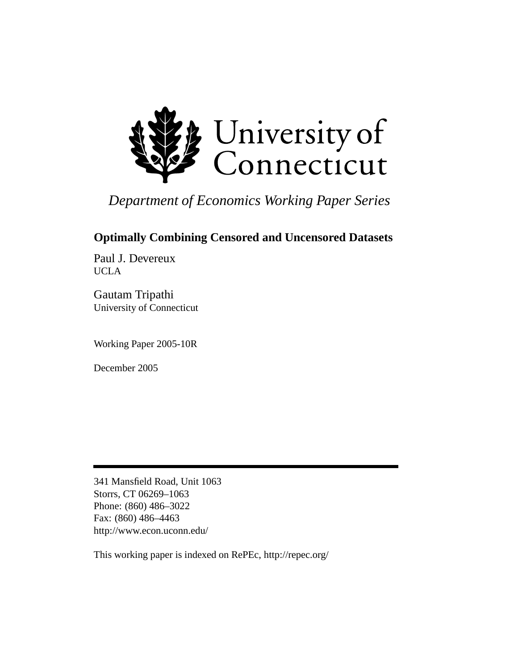

# *Department of Economics Working Paper Series*

# **Optimally Combining Censored and Uncensored Datasets**

Paul J. Devereux UCLA

Gautam Tripathi University of Connecticut

Working Paper 2005-10R

December 2005

341 Mansfield Road, Unit 1063 Storrs, CT 06269–1063 Phone: (860) 486–3022 Fax: (860) 486–4463 http://www.econ.uconn.edu/

This working paper is indexed on RePEc, http://repec.org/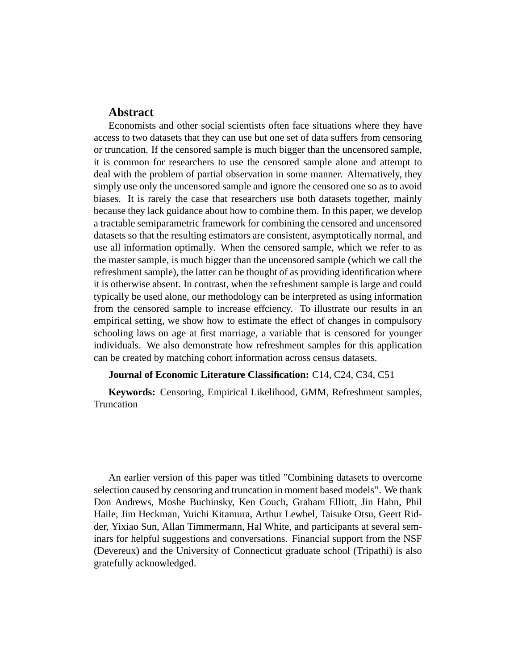### **Abstract**

Economists and other social scientists often face situations where they have access to two datasets that they can use but one set of data suffers from censoring or truncation. If the censored sample is much bigger than the uncensored sample, it is common for researchers to use the censored sample alone and attempt to deal with the problem of partial observation in some manner. Alternatively, they simply use only the uncensored sample and ignore the censored one so as to avoid biases. It is rarely the case that researchers use both datasets together, mainly because they lack guidance about how to combine them. In this paper, we develop a tractable semiparametric framework for combining the censored and uncensored datasets so that the resulting estimators are consistent, asymptotically normal, and use all information optimally. When the censored sample, which we refer to as the master sample, is much bigger than the uncensored sample (which we call the refreshment sample), the latter can be thought of as providing identification where it is otherwise absent. In contrast, when the refreshment sample is large and could typically be used alone, our methodology can be interpreted as using information from the censored sample to increase effciency. To illustrate our results in an empirical setting, we show how to estimate the effect of changes in compulsory schooling laws on age at first marriage, a variable that is censored for younger individuals. We also demonstrate how refreshment samples for this application can be created by matching cohort information across census datasets.

#### **Journal of Economic Literature Classification:** C14, C24, C34, C51

**Keywords:** Censoring, Empirical Likelihood, GMM, Refreshment samples, Truncation

An earlier version of this paper was titled "Combining datasets to overcome selection caused by censoring and truncation in moment based models". We thank Don Andrews, Moshe Buchinsky, Ken Couch, Graham Elliott, Jin Hahn, Phil Haile, Jim Heckman, Yuichi Kitamura, Arthur Lewbel, Taisuke Otsu, Geert Ridder, Yixiao Sun, Allan Timmermann, Hal White, and participants at several seminars for helpful suggestions and conversations. Financial support from the NSF (Devereux) and the University of Connecticut graduate school (Tripathi) is also gratefully acknowledged.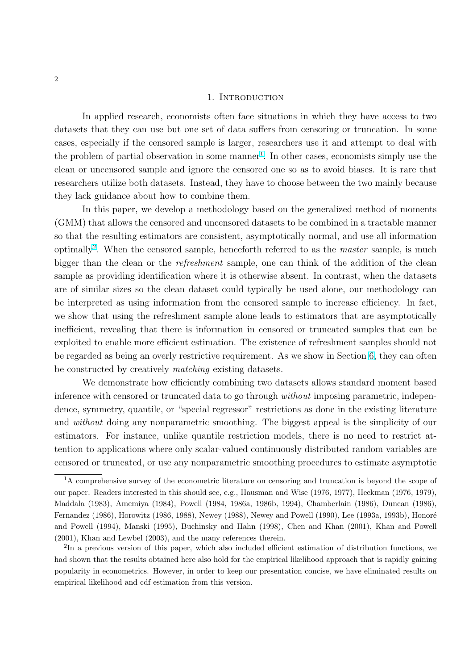#### 1. INTRODUCTION

In applied research, economists often face situations in which they have access to two datasets that they can use but one set of data suffers from censoring or truncation. In some cases, especially if the censored sample is larger, researchers use it and attempt to deal with the problem of partial observation in some manner<sup>1</sup>. In other cases, economists simply use the clean or uncensored sample and ignore the censored one so as to avoid biases. It is rare that researchers utilize both datasets. Instead, they have to choose between the two mainly because they lack guidance about how to combine them.

In this paper, we develop a methodology based on the generalized method of moments (GMM) that allows the censored and uncensored datasets to be combined in a tractable manner so that the resulting estimators are consistent, asymptotically normal, and use all information optimally<sup>2</sup>. When the censored sample, henceforth referred to as the *master* sample, is much bigger than the clean or the *refreshment* sample, one can think of the addition of the clean sample as providing identification where it is otherwise absent. In contrast, when the datasets are of similar sizes so the clean dataset could typically be used alone, our methodology can be interpreted as using information from the censored sample to increase efficiency. In fact, we show that using the refreshment sample alone leads to estimators that are asymptotically inefficient, revealing that there is information in censored or truncated samples that can be exploited to enable more efficient estimation. The existence of refreshment samples should not be regarded as being an overly restrictive requirement. As we show in Section [6,](#page-17-0) they can often be constructed by creatively matching existing datasets.

We demonstrate how efficiently combining two datasets allows standard moment based inference with censored or truncated data to go through without imposing parametric, independence, symmetry, quantile, or "special regressor" restrictions as done in the existing literature and without doing any nonparametric smoothing. The biggest appeal is the simplicity of our estimators. For instance, unlike quantile restriction models, there is no need to restrict attention to applications where only scalar-valued continuously distributed random variables are censored or truncated, or use any nonparametric smoothing procedures to estimate asymptotic

<sup>&</sup>lt;sup>1</sup>A comprehensive survey of the econometric literature on censoring and truncation is beyond the scope of our paper. Readers interested in this should see, e.g., Hausman and Wise (1976, 1977), Heckman (1976, 1979), Maddala (1983), Amemiya (1984), Powell (1984, 1986a, 1986b, 1994), Chamberlain (1986), Duncan (1986), Fernandez (1986), Horowitz (1986, 1988), Newey (1988), Newey and Powell (1990), Lee (1993a, 1993b), Honoré and Powell (1994), Manski (1995), Buchinsky and Hahn (1998), Chen and Khan (2001), Khan and Powell (2001), Khan and Lewbel (2003), and the many references therein.

<sup>&</sup>lt;sup>2</sup>In a previous version of this paper, which also included efficient estimation of distribution functions, we had shown that the results obtained here also hold for the empirical likelihood approach that is rapidly gaining popularity in econometrics. However, in order to keep our presentation concise, we have eliminated results on empirical likelihood and cdf estimation from this version.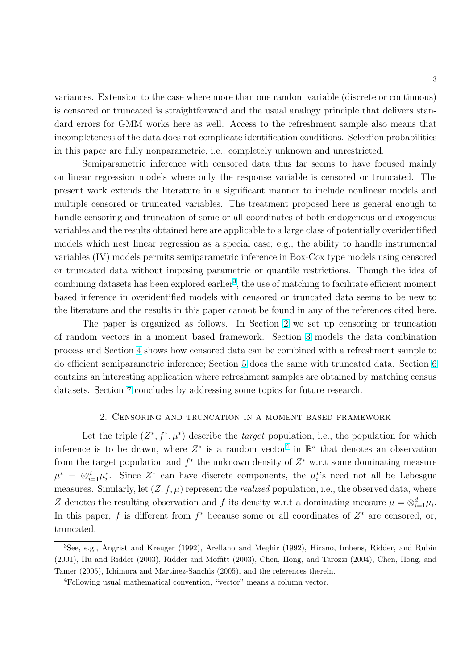<span id="page-4-0"></span>variances. Extension to the case where more than one random variable (discrete or continuous) is censored or truncated is straightforward and the usual analogy principle that delivers standard errors for GMM works here as well. Access to the refreshment sample also means that incompleteness of the data does not complicate identification conditions. Selection probabilities in this paper are fully nonparametric, i.e., completely unknown and unrestricted.

Semiparametric inference with censored data thus far seems to have focused mainly on linear regression models where only the response variable is censored or truncated. The present work extends the literature in a significant manner to include nonlinear models and multiple censored or truncated variables. The treatment proposed here is general enough to handle censoring and truncation of some or all coordinates of both endogenous and exogenous variables and the results obtained here are applicable to a large class of potentially overidentified models which nest linear regression as a special case; e.g., the ability to handle instrumental variables (IV) models permits semiparametric inference in Box-Cox type models using censored or truncated data without imposing parametric or quantile restrictions. Though the idea of combining datasets has been explored earlier<sup>3</sup>, the use of matching to facilitate efficient moment based inference in overidentified models with censored or truncated data seems to be new to the literature and the results in this paper cannot be found in any of the references cited here.

The paper is organized as follows. In Section 2 we set up censoring or truncation of random vectors in a moment based framework. Section [3](#page-9-0) models the data combination process and Section [4](#page-10-0) shows how censored data can be combined with a refreshment sample to do efficient semiparametric inference; Section [5](#page-15-0) does the same with truncated data. Section [6](#page-17-0) contains an interesting application where refreshment samples are obtained by matching census datasets. Section [7](#page-23-0) concludes by addressing some topics for future research.

#### 2. Censoring and truncation in a moment based framework

Let the triple  $(Z^*, f^*, \mu^*)$  describe the *target* population, i.e., the population for which inference is to be drawn, where  $Z^*$  is a random vector<sup>4</sup> in  $\mathbb{R}^d$  that denotes an observation from the target population and  $f^*$  the unknown density of  $Z^*$  w.r.t some dominating measure  $\mu^* = \otimes_{i=1}^d \mu_i^*$ . Since  $Z^*$  can have discrete components, the  $\mu_i^*$ 's need not all be Lebesgue measures. Similarly, let  $(Z, f, \mu)$  represent the *realized* population, i.e., the observed data, where Z denotes the resulting observation and f its density w.r.t a dominating measure  $\mu = \otimes_{i=1}^d \mu_i$ . In this paper, f is different from  $f^*$  because some or all coordinates of  $Z^*$  are censored, or, truncated.

<sup>3</sup>See, e.g., Angrist and Kreuger (1992), Arellano and Meghir (1992), Hirano, Imbens, Ridder, and Rubin (2001), Hu and Ridder (2003), Ridder and Moffitt (2003), Chen, Hong, and Tarozzi (2004), Chen, Hong, and Tamer (2005), Ichimura and Martinez-Sanchis (2005), and the references therein.

<sup>4</sup>Following usual mathematical convention, "vector" means a column vector.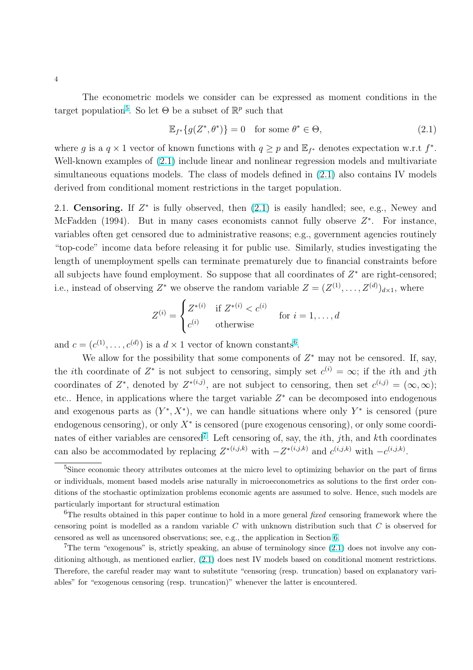<span id="page-5-0"></span>The econometric models we consider can be expressed as moment conditions in the target population<sup>5</sup>. So let  $\Theta$  be a subset of  $\mathbb{R}^p$  such that

$$
\mathbb{E}_{f^*}\{g(Z^*,\theta^*)\} = 0 \quad \text{for some } \theta^* \in \Theta,
$$
\n(2.1)

where g is a  $q \times 1$  vector of known functions with  $q \geq p$  and  $\mathbb{E}_{f^*}$  denotes expectation w.r.t  $f^*$ . Well-known examples of  $(2.1)$  include linear and nonlinear regression models and multivariate simultaneous equations models. The class of models defined in (2.1) also contains IV models derived from conditional moment restrictions in the target population.

2.1. Censoring. If  $Z^*$  is fully observed, then  $(2.1)$  is easily handled; see, e.g., Newey and McFadden (1994). But in many cases economists cannot fully observe  $Z^*$ . For instance, variables often get censored due to administrative reasons; e.g., government agencies routinely "top-code" income data before releasing it for public use. Similarly, studies investigating the length of unemployment spells can terminate prematurely due to financial constraints before all subjects have found employment. So suppose that all coordinates of  $Z^*$  are right-censored; i.e., instead of observing  $Z^*$  we observe the random variable  $Z = (Z^{(1)}, \ldots, Z^{(d)})_{d \times 1}$ , where  $\overline{a}$ 

$$
Z^{(i)} = \begin{cases} Z^{*(i)} & \text{if } Z^{*(i)} < c^{(i)} \\ c^{(i)} & \text{otherwise} \end{cases} \quad \text{for } i = 1, \dots, d
$$

and  $c = (c^{(1)}, \ldots, c^{(d)})$  is a  $d \times 1$  vector of known constants<sup>6</sup>.

We allow for the possibility that some components of  $Z^*$  may not be censored. If, say, the *i*th coordinate of  $Z^*$  is not subject to censoring, simply set  $c^{(i)} = \infty$ ; if the *i*th and *j*th coordinates of  $Z^*$ , denoted by  $Z^{*(i,j)}$ , are not subject to censoring, then set  $c^{(i,j)} = (\infty, \infty)$ ; etc.. Hence, in applications where the target variable  $Z^*$  can be decomposed into endogenous and exogenous parts as  $(Y^*, X^*)$ , we can handle situations where only  $Y^*$  is censored (pure endogenous censoring), or only  $X^*$  is censored (pure exogenous censoring), or only some coordinates of either variables are censored<sup>7</sup>. Left censoring of, say, the *i*th, *j*th, and *k*th coordinates can also be accommodated by replacing  $Z^{*(i,j,k)}$  with  $-Z^{*(i,j,k)}$  and  $c^{(i,j,k)}$  with  $-c^{(i,j,k)}$ .

<sup>&</sup>lt;sup>5</sup>Since economic theory attributes outcomes at the micro level to optimizing behavior on the part of firms or individuals, moment based models arise naturally in microeconometrics as solutions to the first order conditions of the stochastic optimization problems economic agents are assumed to solve. Hence, such models are particularly important for structural estimation

<sup>&</sup>lt;sup>6</sup>The results obtained in this paper continue to hold in a more general *fixed* censoring framework where the censoring point is modelled as a random variable C with unknown distribution such that C is observed for censored as well as uncensored observations; see, e.g., the application in Section [6.](#page-17-0)

<sup>&</sup>lt;sup>7</sup>The term "exogenous" is, strictly speaking, an abuse of terminology since  $(2.1)$  does not involve any conditioning although, as mentioned earlier, (2.1) does nest IV models based on conditional moment restrictions. Therefore, the careful reader may want to substitute "censoring (resp. truncation) based on explanatory variables" for "exogenous censoring (resp. truncation)" whenever the latter is encountered.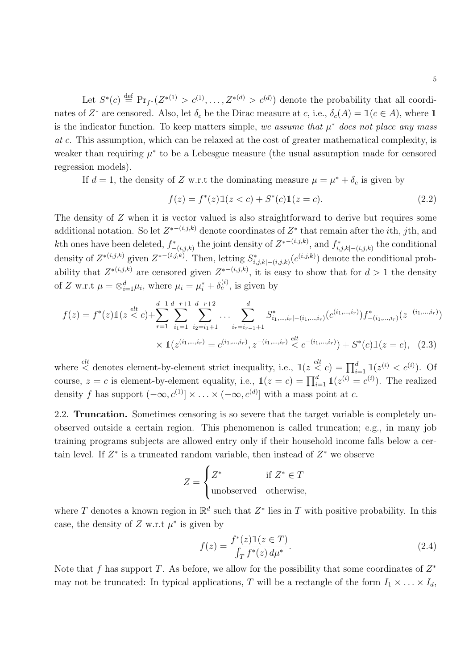<span id="page-6-0"></span>Let  $S^*(c) \stackrel{\text{def}}{=} \Pr_{f^*}(Z^{*(1)} > c^{(1)}, \ldots, Z^{*(d)} > c^{(d)})$  denote the probability that all coordinates of  $Z^*$  are censored. Also, let  $\delta_c$  be the Dirac measure at c, i.e.,  $\delta_c(A) = \mathbb{1}(c \in A)$ , where  $\mathbb{1}$ is the indicator function. To keep matters simple, we assume that  $\mu^*$  does not place any mass at c. This assumption, which can be relaxed at the cost of greater mathematical complexity, is weaker than requiring  $\mu^*$  to be a Lebesgue measure (the usual assumption made for censored regression models).

If  $d = 1$ , the density of Z w.r.t the dominating measure  $\mu = \mu^* + \delta_c$  is given by

$$
f(z) = f^*(z) \mathbb{1}(z < c) + S^*(c) \mathbb{1}(z = c).
$$
 (2.2)

The density of Z when it is vector valued is also straightforward to derive but requires some additional notation. So let  $Z^{*- (i,j,k)}$  denote coordinates of  $Z^*$  that remain after the *i*th, *j*th, and kth ones have been deleted,  $f_{-(i,j,k)}^*$  the joint density of  $Z^{*- (i,j,k)}$ , and  $f_{i,j,k|-(i,j,k)}^*$  the conditional density of  $Z^{*(i,j,k)}$  given  $Z^{*(-(i,j,k)}$ . Then, letting  $S^*_{i,j,k}|_{(-(i,j,k)}(c^{(i,j,k)})$  denote the conditional probability that  $Z^{*(i,j,k)}$  are censored given  $Z^{*- (i,j,k)}$ , it is easy to show that for  $d > 1$  the density of Z w.r.t  $\mu = \otimes_{i=1}^d \mu_i$ , where  $\mu_i = \mu_i^* + \delta_c^{(i)}$ , is given by

$$
f(z) = f^*(z) \mathbb{1}(z < c) + \sum_{r=1}^{d-1} \sum_{i_1=1}^{d-r+1} \sum_{i_2=i_1+1}^{d-r+2} \dots \sum_{i_r=i_{r-1}+1}^{d} S^*_{i_1,\dots,i_r|-(i_1,\dots,i_r)}(c^{(i_1,\dots,i_r)}) f^*_{-(i_1,\dots,i_r)}(z^{-(i_1,\dots,i_r)})
$$
  
 
$$
\times \mathbb{1}(z^{(i_1,\dots,i_r)} = c^{(i_1,\dots,i_r)}, z^{-(i_1,\dots,i_r)} \leq c^{-(i_1,\dots,i_r)}) + S^*(c) \mathbb{1}(z = c), \quad (2.3)
$$

where  $\leq$  denotes element-by-element strict inequality, i.e.,  $\mathbb{1}(z \leq c) = \prod_{i=1}^{d} \mathbb{1}(z^{(i)} < c^{(i)}).$  Of course,  $z = c$  is element-by-element equality, i.e.,  $\mathbb{1}(z = c) = \prod_{i=1}^{d} \mathbb{1}(z^{(i)} = c^{(i)})$ . The realized density f has support  $(-\infty, c^{(1)}] \times ... \times (-\infty, c^{(d)}]$  with a mass point at c.

2.2. Truncation. Sometimes censoring is so severe that the target variable is completely unobserved outside a certain region. This phenomenon is called truncation; e.g., in many job training programs subjects are allowed entry only if their household income falls below a certain level. If  $Z^*$  is a truncated random variable, then instead of  $Z^*$  we observe  $\overline{a}$ 

$$
Z = \begin{cases} Z^* & \text{if } Z^* \in T \\ \text{unobserved} & \text{otherwise,} \end{cases}
$$

where T denotes a known region in  $\mathbb{R}^d$  such that  $Z^*$  lies in T with positive probability. In this case, the density of  $Z$  w.r.t  $\mu^*$  is given by

$$
f(z) = \frac{f^*(z) \mathbb{1}(z \in T)}{\int_T f^*(z) d\mu^*}.
$$
\n(2.4)

Note that f has support T. As before, we allow for the possibility that some coordinates of  $Z^*$ may not be truncated: In typical applications, T will be a rectangle of the form  $I_1 \times \ldots \times I_d$ ,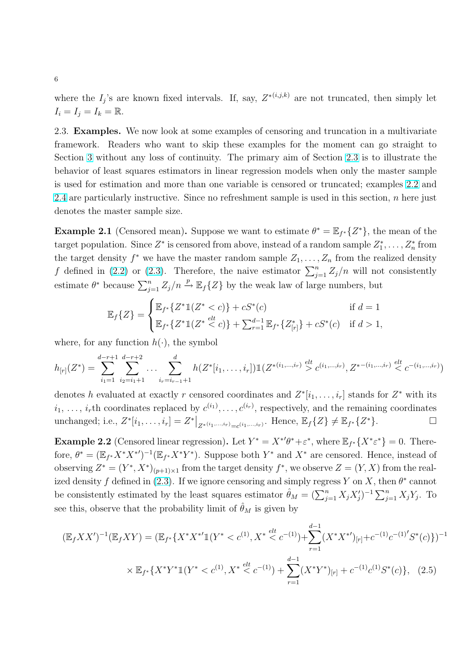<span id="page-7-0"></span>where the  $I_j$ 's are known fixed intervals. If, say,  $Z^{*(i,j,k)}$  are not truncated, then simply let  $I_i = I_j = I_k = \mathbb{R}.$ 

2.3. Examples. We now look at some examples of censoring and truncation in a multivariate framework. Readers who want to skip these examples for the moment can go straight to Section [3](#page-9-0) without any loss of continuity. The primary aim of Section 2.3 is to illustrate the behavior of least squares estimators in linear regression models when only the master sample is used for estimation and more than one variable is censored or truncated; examples 2.2 and [2.4](#page-8-0) are particularly instructive. Since no refreshment sample is used in this section,  $n$  here just denotes the master sample size.

**Example 2.1** (Censored mean). Suppose we want to estimate  $\theta^* = \mathbb{E}_{f^*}\{Z^*\}$ , the mean of the target population. Since  $Z^*$  is censored from above, instead of a random sample  $Z_1^*, \ldots, Z_n^*$  from the target density  $f^*$  we have the master random sample  $Z_1, \ldots, Z_n$  from the realized density f defined in [\(2.2\)](#page-6-0) or [\(2.3\)](#page-6-0). Therefore, the naive estimator  $\sum_{j=1}^{n} Z_j/n$  will not consistently estimate  $\theta^*$  because  $\sum_{j=1}^n Z_j/n \stackrel{p}{\rightarrow} \mathbb{E}_f\{Z\}$  by the weak law of large numbers, but  $\overline{\phantom{a}}$ 

$$
\mathbb{E}_f\{Z\} = \begin{cases} \mathbb{E}_{f^*}\{Z^*1(Z^* < c)\} + cS^*(c) & \text{if } d = 1\\ \mathbb{E}_{f^*}\{Z^*1(Z^* < c)\} + \sum_{r=1}^{d-1} \mathbb{E}_{f^*}\{Z_{[r]}^*\} + cS^*(c) & \text{if } d > 1, \end{cases}
$$

where, for any function  $h(\cdot)$ , the symbol

$$
h_{[r]}(Z^*) = \sum_{i_1=1}^{d-r+1} \sum_{i_2=i_1+1}^{d-r+2} \dots \sum_{i_r=i_{r-1}+1}^{d} h(Z^*[i_1,\dots,i_r]) \mathbb{1}(Z^{*(i_1,\dots,i_r)} \ge c^{(i_1,\dots,i_r)}, Z^{*(-i_1,\dots,i_r)} \le c^{-(i_1,\dots,i_r)})
$$

denotes h evaluated at exactly r censored coordinates and  $Z^*[i_1,\ldots,i_r]$  stands for  $Z^*$  with its  $i_1, \ldots, i_r$ th coordinates replaced by  $c^{(i_1)}, \ldots, c^{(i_r)}$ , respectively, and the remaining coordinates unchanged; i.e.,  $Z^*[i_1, \ldots, i_r] = Z^*|_{Z^{*(i_1, \ldots, i_r)} = c^{(i_1, \ldots, i_r)}}$ . Hence,  $\mathbb{E}_f\{Z\} \neq \mathbb{E}_{f^*}\{Z^*\}$ .

**Example 2.2** (Censored linear regression). Let  $Y^* = X^{*\prime}\theta^* + \varepsilon^*$ , where  $\mathbb{E}_{f^*}\{X^*\varepsilon^*\} = 0$ . Therefore,  $\theta^* = (\mathbb{E}_{f^*} X^* Y^*)^{-1} (\mathbb{E}_{f^*} X^* Y^*)$ . Suppose both  $Y^*$  and  $X^*$  are censored. Hence, instead of observing  $Z^* = (Y^*, X^*)_{(p+1)\times 1}$  from the target density  $f^*$ , we observe  $Z = (Y, X)$  from the real-ized density f defined in [\(2.3\)](#page-6-0). If we ignore censoring and simply regress Y on X, then  $\theta^*$  cannot be consistently estimated by the least squares estimator  $\hat{\theta}_M = (\sum_{j=1}^n X_j X'_j)^{-1} \sum_{j=1}^n X_j Y_j$ . To see this, observe that the probability limit of  $\hat{\theta}_M$  is given by

$$
(\mathbb{E}_f XX')^{-1}(\mathbb{E}_f XY) = (\mathbb{E}_{f^*} \{ X^* X^{*'} \mathbb{1}(Y^* < c^{(1)}, X^* \stackrel{elt}{\leq} c^{-(1)}) + \sum_{r=1}^{d-1} (X^* X^{*'})_{[r]} + c^{-(1)} c^{-(1)'} S^*(c) \})^{-1}
$$
\n
$$
\times \mathbb{E}_{f^*} \{ X^* Y^* \mathbb{1}(Y^* < c^{(1)}, X^* \stackrel{elt}{\leq} c^{-(1)}) + \sum_{r=1}^{d-1} (X^* Y^*)_{[r]} + c^{-(1)} c^{(1)} S^*(c) \}, \quad (2.5)
$$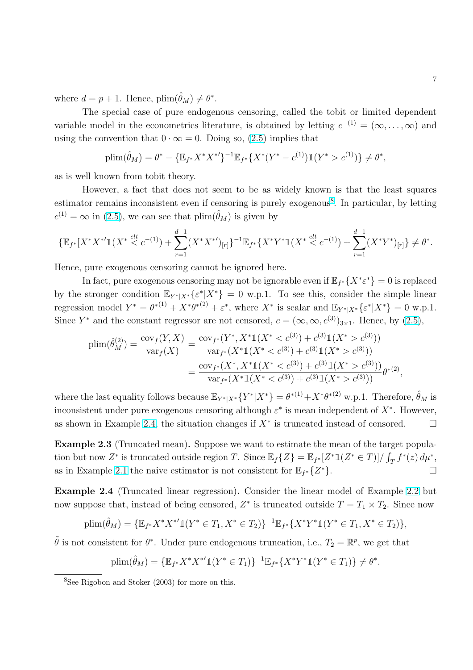<span id="page-8-0"></span>where  $d = p + 1$ . Hence,  $\text{plim}(\hat{\theta}_M) \neq \theta^*$ .

The special case of pure endogenous censoring, called the tobit or limited dependent variable model in the econometrics literature, is obtained by letting  $c^{-(1)} = (\infty, \ldots, \infty)$  and using the convention that  $0 \cdot \infty = 0$ . Doing so, [\(2.5\)](#page-7-0) implies that

$$
\text{plim}(\hat{\theta}_M) = \theta^* - \{ \mathbb{E}_{f^*} X^* Y^{*'} \}^{-1} \mathbb{E}_{f^*} \{ X^* (Y^* - c^{(1)}) \mathbb{1} (Y^* > c^{(1)}) \} \neq \theta^*,
$$

as is well known from tobit theory.

However, a fact that does not seem to be as widely known is that the least squares estimator remains inconsistent even if censoring is purely exogenous<sup>8</sup>. In particular, by letting  $c^{(1)} = \infty$  in [\(2.5\)](#page-7-0), we can see that  $\text{plim}(\hat{\theta}_M)$  is given by

$$
\{\mathbb{E}_{f^*}[X^*X^{*'}1(X^* \leq c^{-(1)}) + \sum_{r=1}^{d-1} (X^*X^{*'})_{[r]}\}^{-1}\mathbb{E}_{f^*}\{X^*Y^*1(X^* \leq c^{-(1)}) + \sum_{r=1}^{d-1} (X^*Y^*)_{[r]}\} \neq \theta^*.
$$

Hence, pure exogenous censoring cannot be ignored here.

In fact, pure exogenous censoring may not be ignorable even if  $\mathbb{E}_{f^*}\{X^*\varepsilon^*\}=0$  is replaced by the stronger condition  $\mathbb{E}_{Y^*|X^*}\{\varepsilon^*|X^*\}=0$  w.p.1. To see this, consider the simple linear regression model  $Y^* = \theta^{*(1)} + X^* \theta^{*(2)} + \varepsilon^*$ , where  $X^*$  is scalar and  $\mathbb{E}_{Y^*|X^*} \{\varepsilon^* | X^* \} = 0$  w.p.1. Since Y<sup>\*</sup> and the constant regressor are not censored,  $c = (\infty, \infty, c^{(3)})_{3 \times 1}$ . Hence, by [\(2.5\)](#page-7-0),

$$
\begin{split} \text{plim}(\hat{\theta}_{M}^{(2)}) &= \frac{\text{cov}_{f}(Y,X)}{\text{var}_{f}(X)} = \frac{\text{cov}_{f^{*}}(Y^{*}, X^{*}\mathbb{1}(X^{*} < c^{(3)}) + c^{(3)}\mathbb{1}(X^{*} > c^{(3)}))}{\text{var}_{f^{*}}(X^{*}\mathbb{1}(X^{*} < c^{(3)}) + c^{(3)}\mathbb{1}(X^{*} > c^{(3)}))} \\ &= \frac{\text{cov}_{f^{*}}(X^{*}, X^{*}\mathbb{1}(X^{*} < c^{(3)}) + c^{(3)}\mathbb{1}(X^{*} > c^{(3)}))}{\text{var}_{f^{*}}(X^{*}\mathbb{1}(X^{*} < c^{(3)}) + c^{(3)}\mathbb{1}(X^{*} > c^{(3)}))} \theta^{*(2)}, \end{split}
$$

where the last equality follows because  $\mathbb{E}_{Y^*|X^*}\{Y^*|X^*\} = \theta^{*(1)} + X^*\theta^{*(2)}$  w.p.1. Therefore,  $\hat{\theta}_M$  is inconsistent under pure exogenous censoring although  $\varepsilon^*$  is mean independent of  $X^*$ . However, as shown in Example 2.4, the situation changes if  $X^*$  is truncated instead of censored.  $\Box$ 

Example 2.3 (Truncated mean). Suppose we want to estimate the mean of the target population but now Z<sup>\*</sup> is truncated outside region T. Since  $\mathbb{E}_f\{Z\} = \mathbb{E}_{f^*}[Z^*1(Z^* \in T)]/\int_T f^*(z) d\mu^*$ , as in Example [2.1](#page-7-0) the naive estimator is not consistent for  $\mathbb{E}_{f^*}\{Z^*\}$ .

Example 2.4 (Truncated linear regression). Consider the linear model of Example [2.2](#page-7-0) but now suppose that, instead of being censored,  $Z^*$  is truncated outside  $T = T_1 \times T_2$ . Since now

$$
\text{plim}(\hat{\theta}_M) = \{ \mathbb{E}_{f^*} X^* X^{*'} \mathbb{1}(Y^* \in T_1, X^* \in T_2) \}^{-1} \mathbb{E}_{f^*} \{ X^* Y^* \mathbb{1}(Y^* \in T_1, X^* \in T_2) \},
$$

 $\tilde{\theta}$  is not consistent for  $\theta^*$ . Under pure endogenous truncation, i.e.,  $T_2 = \mathbb{R}^p$ , we get that

$$
\text{plim}(\hat{\theta}_M) = \{ \mathbb{E}_{f^*} X^* X^{*\prime} \mathbb{1}(Y^* \in T_1) \}^{-1} \mathbb{E}_{f^*} \{ X^* Y^* \mathbb{1}(Y^* \in T_1) \} \neq \theta^*.
$$

<sup>8</sup>See Rigobon and Stoker (2003) for more on this.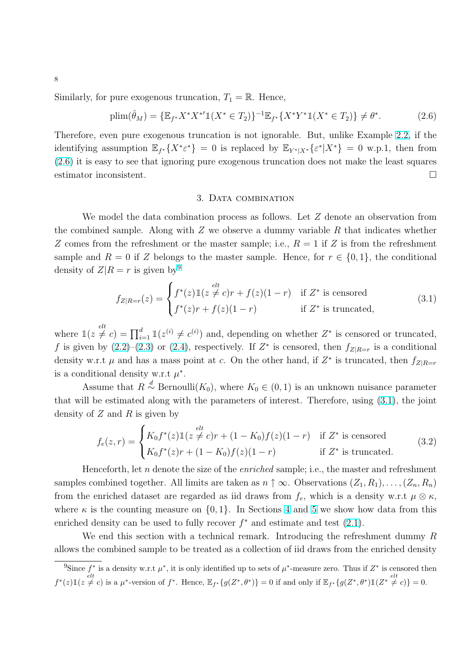<span id="page-9-0"></span>Similarly, for pure exogenous truncation,  $T_1 = \mathbb{R}$ . Hence,

$$
\text{plim}(\hat{\theta}_M) = \{ \mathbb{E}_{f^*} X^* X^{*'} \mathbb{1}(X^* \in T_2) \}^{-1} \mathbb{E}_{f^*} \{ X^* Y^* \mathbb{1}(X^* \in T_2) \} \neq \theta^*.
$$
 (2.6)

Therefore, even pure exogenous truncation is not ignorable. But, unlike Example [2.2,](#page-7-0) if the identifying assumption  $\mathbb{E}_{f^*}\{X^*\varepsilon^*\}=0$  is replaced by  $\mathbb{E}_{Y^*|X^*}\{\varepsilon^*|X^*\}=0$  w.p.1, then from (2.6) it is easy to see that ignoring pure exogenous truncation does not make the least squares estimator inconsistent.  $\Box$ 

#### 3. Data combination

We model the data combination process as follows. Let Z denote an observation from the combined sample. Along with  $Z$  we observe a dummy variable  $R$  that indicates whether Z comes from the refreshment or the master sample; i.e.,  $R = 1$  if Z is from the refreshment sample and  $R = 0$  if Z belongs to the master sample. Hence, for  $r \in \{0, 1\}$ , the conditional density of  $Z|R = r$  is given by<sup>9</sup>

$$
f_{Z|R=r}(z) = \begin{cases} f^*(z) \mathbb{1}(z \neq c)r + f(z)(1-r) & \text{if } Z^* \text{ is censored} \\ f^*(z)r + f(z)(1-r) & \text{if } Z^* \text{ is truncated,} \end{cases}
$$
(3.1)

where  $\mathbb{1}(z \neq c) = \prod_{i=1}^{d} \mathbb{1}(z^{(i)} \neq c^{(i)})$  and, depending on whether  $Z^*$  is censored or truncated, f is given by  $(2.2)$ - $(2.3)$  or  $(2.4)$ , respectively. If  $Z^*$  is censored, then  $f_{Z|R=r}$  is a conditional density w.r.t  $\mu$  and has a mass point at c. On the other hand, if  $Z^*$  is truncated, then  $f_{Z|R=r}$ is a conditional density w.r.t  $\mu^*$ .

Assume that  $R \stackrel{d}{\sim} \text{Bernoulli}(K_0)$ , where  $K_0 \in (0, 1)$  is an unknown nuisance parameter that will be estimated along with the parameters of interest. Therefore, using (3.1), the joint density of  $Z$  and  $R$  is given by

$$
f_e(z,r) = \begin{cases} K_0 f^*(z) \mathbb{1}(z \neq c)r + (1 - K_0)f(z)(1 - r) & \text{if } Z^* \text{ is censored} \\ K_0 f^*(z)r + (1 - K_0)f(z)(1 - r) & \text{if } Z^* \text{ is truncated.} \end{cases}
$$
(3.2)

Henceforth, let n denote the size of the *enriched* sample; i.e., the master and refreshment samples combined together. All limits are taken as  $n \uparrow \infty$ . Observations  $(Z_1, R_1), \ldots, (Z_n, R_n)$ from the enriched dataset are regarded as iid draws from  $f_e$ , which is a density w.r.t  $\mu \otimes \kappa$ , where  $\kappa$  is the counting measure on  $\{0, 1\}$ . In Sections [4](#page-10-0) and [5](#page-15-0) we show how data from this enriched density can be used to fully recover  $f^*$  and estimate and test  $(2.1)$ .

We end this section with a technical remark. Introducing the refreshment dummy R allows the combined sample to be treated as a collection of iid draws from the enriched density

<sup>&</sup>lt;sup>9</sup>Since  $f^*$  is a density w.r.t  $\mu^*$ , it is only identified up to sets of  $\mu^*$ -measure zero. Thus if  $Z^*$  is censored then  $f^*(z) \mathbbm{1}(z \neq c)$  is a  $\mu^*$ -version of  $f^*$ . Hence,  $\mathbb{E}_{f^*}{g(Z^*,\theta^*)} = 0$  if and only if  $\mathbb{E}_{f^*}{g(Z^*,\theta^*)} \mathbbm{1}(Z^* \neq c) = 0$ .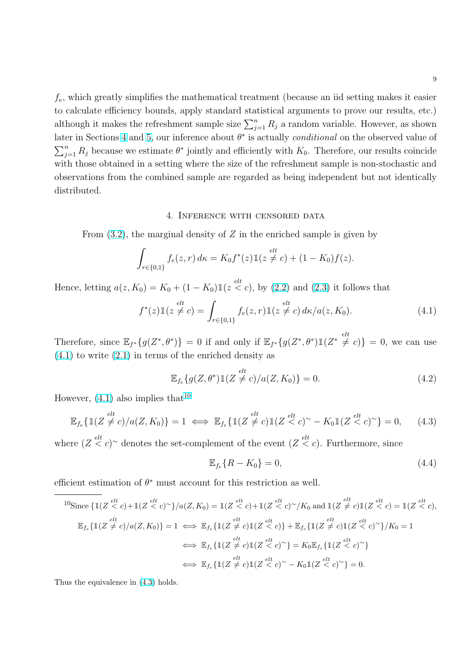<span id="page-10-0"></span> $f_e$ , which greatly simplifies the mathematical treatment (because an iid setting makes it easier to calculate efficiency bounds, apply standard statistical arguments to prove our results, etc.) although it makes the refreshment sample size  $\sum_{j=1}^{n} R_j$  a random variable. However, as shown later in Sections 4 and [5,](#page-15-0) our inference about  $\theta^*$  is actually *conditional* on the observed value of  $\sum_{n=1}^{\infty}$  $j=1 \nvert R_j$  because we estimate  $\theta^*$  jointly and efficiently with  $K_0$ . Therefore, our results coincide with those obtained in a setting where the size of the refreshment sample is non-stochastic and observations from the combined sample are regarded as being independent but not identically distributed.

#### 4. Inference with censored data

From  $(3.2)$ , the marginal density of Z in the enriched sample is given by

$$
\int_{r \in \{0,1\}} f_e(z,r) \, d\kappa = K_0 f^*(z) \mathbb{1}(z \neq c) + (1 - K_0) f(z).
$$

Hence, letting  $a(z, K_0) = K_0 + (1 - K_0) \mathbb{1}(z \leq c)$ , by [\(2.2\)](#page-6-0) and [\(2.3\)](#page-6-0) it follows that

$$
f^*(z) \mathbb{1}(z \neq c) = \int_{r \in \{0,1\}} f_e(z,r) \mathbb{1}(z \neq c) d\kappa/a(z,K_0).
$$
 (4.1)

Therefore, since  $\mathbb{E}_{f^*}\{g(Z^*,\theta^*)\}=0$  if and only if  $\mathbb{E}_{f^*}\{g(Z^*,\theta^*)\mathbb{1}(Z^*\neq c)\}=0$ , we can use  $(4.1)$  to write  $(2.1)$  in terms of the enriched density as

$$
\mathbb{E}_{f_e}\{g(Z,\theta^*)\mathbb{1}(Z \neq c)/a(Z,K_0)\} = 0.
$$
\n(4.2)

However,  $(4.1)$  also implies that<sup>10</sup>

$$
\mathbb{E}_{f_e} \{ \mathbb{1}(Z \neq c) / a(Z, K_0) \} = 1 \iff \mathbb{E}_{f_e} \{ \mathbb{1}(Z \neq c) \mathbb{1}(Z < c)^\sim - K_0 \mathbb{1}(Z < c)^\sim \} = 0, \quad (4.3)
$$

where  $(Z \leq c)$ <sup>~</sup> denotes the set-complement of the event  $(Z \leq c)$ . Furthermore, since

$$
\mathbb{E}_{f_e}\{R - K_0\} = 0,\tag{4.4}
$$

efficient estimation of  $\theta^*$  must account for this restriction as well.

$$
{}^{10}\text{Since } \{ \mathbb{1}(Z \stackrel{elt}{\leq} c) + \mathbb{1}(Z \stackrel{elt}{\leq} c)^{\sim} \} / a(Z, K_0) = \mathbb{1}(Z \stackrel{elt}{\leq} c) + \mathbb{1}(Z \stackrel{elt}{\leq} c)^{\sim} / K_0 \text{ and } \mathbb{1}(Z \neq c) \mathbb{1}(Z \stackrel{elt}{\leq} c) = \mathbb{1}(Z \stackrel{elt}{\leq} c),
$$
  

$$
\mathbb{E}_{f_e} \{ \mathbb{1}(Z \neq c) / a(Z, K_0) \} = 1 \iff \mathbb{E}_{f_e} \{ \mathbb{1}(Z \neq c) \mathbb{1}(Z \stackrel{elt}{\leq} c) \} + \mathbb{E}_{f_e} \{ \mathbb{1}(Z \neq c) \mathbb{1}(Z \stackrel{elt}{\leq} c)^{\sim} \} / K_0 = 1
$$
  

$$
\iff \mathbb{E}_{f_e} \{ \mathbb{1}(Z \neq c) \mathbb{1}(Z \stackrel{elt}{\leq} c)^{\sim} \} = K_0 \mathbb{E}_{f_e} \{ \mathbb{1}(Z \stackrel{elt}{\leq} c)^{\sim} \}
$$
  

$$
\iff \mathbb{E}_{f_e} \{ \mathbb{1}(Z \neq c) \mathbb{1}(Z \stackrel{elt}{\leq} c)^{\sim} - K_0 \mathbb{1}(Z \stackrel{elt}{\leq} c)^{\sim} \} = 0.
$$

Thus the equivalence in (4.3) holds.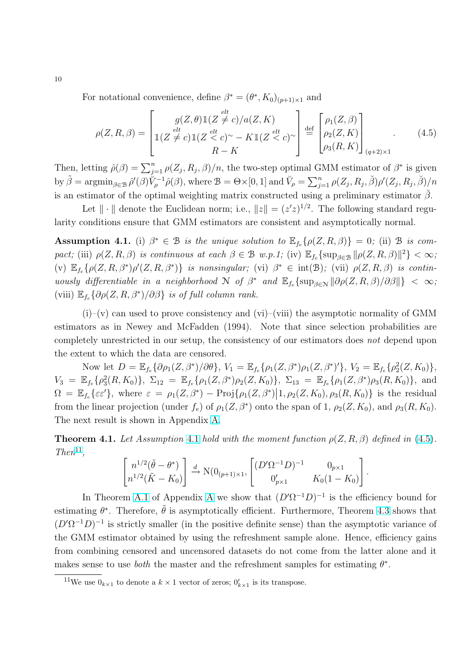For notational convenience, define  $\beta^* = (\theta^*, K_0)_{(p+1)\times 1}$  and

$$
\rho(Z, R, \beta) = \begin{bmatrix} g(Z, \theta) \mathbb{1}(Z \neq c) / a(Z, K) \\ \mathbb{1}(Z \neq c) \mathbb{1}(Z < c)^\sim - K \mathbb{1}(Z < c)^\sim \\ R - K \end{bmatrix} \stackrel{\text{def}}{=} \begin{bmatrix} \rho_1(Z, \beta) \\ \rho_2(Z, K) \\ \rho_3(R, K) \end{bmatrix}_{(q+2) \times 1} . \tag{4.5}
$$

Then, letting  $\hat{\rho}(\beta) = \sum_{j=1}^{n} \rho(Z_j, R_j, \beta)/n$ , the two-step optimal GMM estimator of  $\beta^*$  is given by  $\tilde{\beta} = \operatorname{argmin}_{\beta \in \mathcal{B}} \hat{\rho}'(\beta) \tilde{V}_{\rho}^{-1} \hat{\rho}(\beta)$ , where  $\mathcal{B} = \Theta \times [0, 1]$  and  $\tilde{V}_{\rho} = \sum_{j=1}^{n}$  $\sum_{j=1}^n \rho(Z_j,R_j,\breve{\beta}) \rho'(Z_j,R_j,\breve{\beta})/n$ is an estimator of the optimal weighting matrix constructed using a preliminary estimator  $\check{\beta}$ .

Let  $\|\cdot\|$  denote the Euclidean norm; i.e.,  $\|z\| = (z'z)^{1/2}$ . The following standard regularity conditions ensure that GMM estimators are consistent and asymptotically normal.

**Assumption 4.1.** (i)  $\beta^* \in \mathcal{B}$  is the unique solution to  $\mathbb{E}_{f_e} \{ \rho(Z, R, \beta) \} = 0$ ; (ii)  $\mathcal{B}$  is compact; (iii)  $\rho(Z, R, \beta)$  is continuous at each  $\beta \in \mathcal{B}$  w.p.1; (iv)  $\mathbb{E}_{f_e} \{ \sup_{\beta \in \mathcal{B}} || \rho(Z, R, \beta) ||^2 \} < \infty$ ; (v)  $\mathbb{E}_{f_e} \{\rho(Z, R, \beta^*)\rho'(Z, R, \beta^*)\}$  is nonsingular; (vi)  $\beta^* \in \text{int}(\mathcal{B})$ ; (vii)  $\rho(Z, R, \beta)$  is continuously differentiable in a neighborhood  $N$  of  $\beta^*$  and  $\mathbb{E}_{f_e} \{\sup_{\beta \in N} ||\partial \rho(Z, R, \beta)/\partial \beta||\} < \infty$ ; (viii)  $\mathbb{E}_{f_e} \{ \partial \rho (Z, R, \beta^*) / \partial \beta \}$  is of full column rank.

 $(i)$ –(v) can used to prove consistency and (vi)–(viii) the asymptotic normality of GMM estimators as in Newey and McFadden (1994). Note that since selection probabilities are completely unrestricted in our setup, the consistency of our estimators does not depend upon the extent to which the data are censored.

Now let  $D = \mathbb{E}_{f_e} {\partial \rho_1(Z, \beta^*)}/\partial \theta$ ,  $V_1 = \mathbb{E}_{f_e} {\rho_1(Z, \beta^*) \rho_1(Z, \beta^*)}'$ ,  $V_2 = \mathbb{E}_{f_e} {\rho_2^2(Z, K_0)}$ ,  $V_3 = \mathbb{E}_{f_e} \{ \rho_3^2(R, K_0) \}, \ \Sigma_{12} = \mathbb{E}_{f_e} \{ \rho_1(Z, \beta^*) \rho_2(Z, K_0) \}, \ \Sigma_{13} = \mathbb{E}_{f_e} \{ \rho_1(Z, \beta^*) \rho_3(R, K_0) \}, \$  and  $\Omega = \mathbb{E}_{f_e} \{ \varepsilon \varepsilon' \},$  where  $\varepsilon = \rho_1(Z, \beta^*) - \text{Proj} \{ \rho_1(Z, \beta^*) \mid 1, \rho_2(Z, K_0), \rho_3(R, K_0) \}$  is the residual from the linear projection (under  $f_e$ ) of  $\rho_1(Z, \beta^*)$  onto the span of 1,  $\rho_2(Z, K_0)$ , and  $\rho_3(R, K_0)$ . The next result is shown in Appendix [A.](#page-24-0)

**Theorem 4.1.** Let Assumption 4.1 hold with the moment function  $\rho(Z, R, \beta)$  defined in (4.5).  $Then<sup>11</sup>$ , , "  $\overline{a}$ .<br> $\overline{r}$  $\overline{a}$ 

$$
\begin{bmatrix} n^{1/2}(\tilde{\theta} - \theta^*) \\ n^{1/2}(\tilde{K} - K_0) \end{bmatrix} \xrightarrow{d} \mathcal{N}(0_{(p+1)\times 1}, \begin{bmatrix} (D'\Omega^{-1}D)^{-1} & 0_{p\times 1} \\ 0'_{p\times 1} & K_0(1-K_0) \end{bmatrix}.
$$

In Theorem [A.1](#page-29-0) of [A](#page-24-0)ppendix A we show that  $(D'\Omega^{-1}D)^{-1}$  is the efficiency bound for estimating  $\theta^*$ . Therefore,  $\tilde{\theta}$  is asymptotically efficient. Furthermore, Theorem [4.3](#page-13-0) shows that  $(D'\Omega^{-1}D)^{-1}$  is strictly smaller (in the positive definite sense) than the asymptotic variance of the GMM estimator obtained by using the refreshment sample alone. Hence, efficiency gains from combining censored and uncensored datasets do not come from the latter alone and it makes sense to use *both* the master and the refreshment samples for estimating  $\theta^*$ .

<span id="page-11-0"></span>10

<sup>&</sup>lt;sup>11</sup>We use  $0_{k\times1}$  to denote a  $k\times1$  vector of zeros;  $0'_{k\times1}$  is its transpose.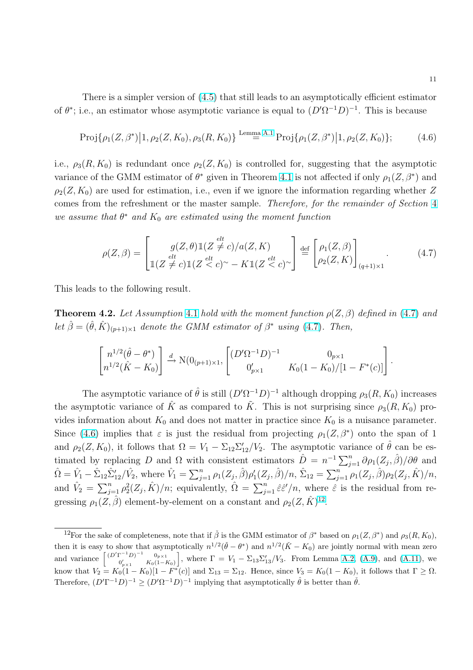<span id="page-12-0"></span>There is a simpler version of [\(4.5\)](#page-11-0) that still leads to an asymptotically efficient estimator of  $\theta^*$ ; i.e., an estimator whose asymptotic variance is equal to  $(D'\Omega^{-1}D)^{-1}$ . This is because

$$
\text{Proj}\{\rho_{1}(Z,\beta^{*})\big|1,\rho_{2}(Z,K_{0}),\rho_{3}(R,K_{0})\} \stackrel{\text{Lemma A.1}}{=} \text{Proj}\{\rho_{1}(Z,\beta^{*})\big|1,\rho_{2}(Z,K_{0})\};\tag{4.6}
$$

i.e.,  $\rho_3(R, K_0)$  is redundant once  $\rho_2(Z, K_0)$  is controlled for, suggesting that the asymptotic variance of the GMM estimator of  $\theta^*$  given in Theorem [4.1](#page-11-0) is not affected if only  $\rho_1(Z, \beta^*)$  and  $\rho_2(Z, K_0)$  are used for estimation, i.e., even if we ignore the information regarding whether Z comes from the refreshment or the master sample. Therefore, for the remainder of Section [4](#page-10-0) we assume that  $\theta^*$  and  $K_0$  are estimated using the moment function

$$
\rho(Z,\beta) = \begin{bmatrix} g(Z,\theta) \mathbb{1}(Z \neq c) / a(Z,K) \\ \det_{\theta} g(Z,\theta) \mathbb{1}(Z \neq c) \mathbb{1}(Z < c)^\sim -K \mathbb{1}(Z < c)^\sim \end{bmatrix} \stackrel{\text{def}}{=} \begin{bmatrix} \rho_1(Z,\beta) \\ \rho_2(Z,K) \end{bmatrix}_{(q+1)\times 1} .
$$
 (4.7)

This leads to the following result.

**Theorem 4.2.** Let Assumption [4.1](#page-11-0) hold with the moment function  $\rho(Z, \beta)$  defined in (4.7) and let  $\hat{\beta} = (\hat{\theta}, \hat{K})_{(p+1)\times 1}$  denote the GMM estimator of  $\beta^*$  using (4.7). Then,

$$
\begin{bmatrix} n^{1/2}(\hat{\theta} - \theta^*) \\ n^{1/2}(\hat{K} - K_0) \end{bmatrix} \xrightarrow{d} N(0_{(p+1)\times 1}, \begin{bmatrix} (D'\Omega^{-1}D)^{-1} & 0_{p\times 1} \\ 0'_{p\times 1} & K_0(1 - K_0)/[1 - F^*(c)] \end{bmatrix}.
$$

The asymptotic variance of  $\hat{\theta}$  is still  $(D'\Omega^{-1}D)^{-1}$  although dropping  $\rho_3(R, K_0)$  increases the asymptotic variance of  $\hat{K}$  as compared to  $\tilde{K}$ . This is not surprising since  $\rho_3(R, K_0)$  provides information about  $K_0$  and does not matter in practice since  $K_0$  is a nuisance parameter. Since (4.6) implies that  $\varepsilon$  is just the residual from projecting  $\rho_1(Z,\beta^*)$  onto the span of 1 and  $\rho_2(Z, K_0)$ , it follows that  $\Omega = V_1 - \Sigma_{12} \Sigma'_{12}/V_2$ . The asymptotic variance of  $\hat{\theta}$  can be estimated by replacing D and  $\Omega$  with consistent estimators  $\hat{D} = n^{-1} \sum_{j=1}^{n} \partial \rho_1(Z_j, \hat{\beta}) / \partial \theta$  and  $\hat{\Omega} = \hat{V}_1 - \hat{\Sigma}_{12} \hat{\Sigma}_{12}' / \hat{V}_2$ , where  $\hat{V}_1 = \sum_{j=1}^n$  $\sum_{j=1}^{n} \rho_1(Z_j, \hat{\beta}) \rho'_1(Z_j, \hat{\beta})/n, \hat{\Sigma}_{12} = \sum_{j=1}^{n}$  $\sum_{j=1}^{n} \rho_1(Z_j, \hat{\beta}) \rho_2(Z_j, \hat{K})/n,$ and  $\hat{V}_2 = \sum_{i=1}^n V_i$  $\hat{\Omega}_{j=1}^{n} \rho_2^2(Z_j, \hat{K})/n$ ; equivalently,  $\hat{\Omega} = \sum_{j=1}^{n} \hat{\varepsilon} \hat{\varepsilon}'/n$ , where  $\hat{\varepsilon}$  is the residual from regressing  $\rho_1(Z, \hat{\beta})$  element-by-element on a constant and  $\rho_2(Z, \hat{K})^{12}$ .

<sup>&</sup>lt;sup>12</sup>For the sake of completeness, note that if  $\check{\beta}$  is the GMM estimator of  $\beta^*$  based on  $\rho_1(Z, \beta^*)$  and  $\rho_3(R, K_0)$ , then it is easy to show that asymptotically  $n^{1/2}(\check{\theta}-\theta^*)$  and  $n^{1/2}(\check{K}-K_0)$  are jointly normal with mean zero then it is easy to show that asy<br>and variance  $\begin{bmatrix} (D'\Gamma^{-1}D)^{-1} & 0_{p\times 1} \\ 0 & K-(1-p)\end{bmatrix}$  $\left[\begin{array}{cc} 1 & 0 & 0 & 0 & 0 & 0 \\ 0 & 0 & 0 & 0 & 0 \\ 0 & 0 & 0 & 0 & 0 \\ 0 & 0 & 0 & 0 & 0 \end{array}\right]$ , where  $\Gamma = V_1 - \Sigma_{13} \Sigma'_{13} / V_3$ . From Lemma [A.2,](#page-27-0) [\(A.9\)](#page-26-0), and [\(A.11\)](#page-26-0), we know that  $V_2 = K_0(1 - K_0)[1 - F^*(c)]$  and  $\Sigma_{13} = \Sigma_{12}$ . Hence, since  $V_3 = K_0(1 - K_0)$ , it follows that  $\Gamma \geq \Omega$ . Therefore,  $(D^{\prime}\Gamma^{-1}D)^{-1} \geq (D^{\prime}\Omega^{-1}D)^{-1}$  implying that asymptotically  $\hat{\theta}$  is better than  $\check{\theta}$ .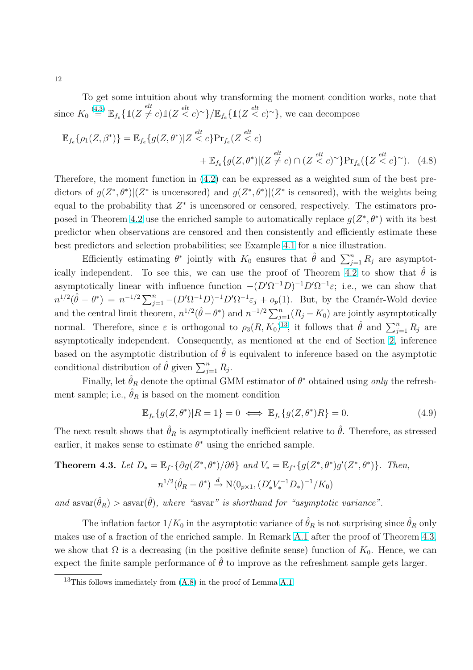To get some intuition about why transforming the moment condition works, note that since  $K_0 \stackrel{(4.3)}{=} \mathbb{E}_{f_e} \{ \mathbb{1}(Z \neq c) \mathbb{1}(Z \stackrel{elt}{\lt} c)^\sim \} / \mathbb{E}_{f_e} \{ \mathbb{1}(Z \stackrel{elt}{\lt} c)^\sim \}$  $K_0 \stackrel{(4.3)}{=} \mathbb{E}_{f_e} \{ \mathbb{1}(Z \neq c) \mathbb{1}(Z \stackrel{elt}{\lt} c)^\sim \} / \mathbb{E}_{f_e} \{ \mathbb{1}(Z \stackrel{elt}{\lt} c)^\sim \}$  $K_0 \stackrel{(4.3)}{=} \mathbb{E}_{f_e} \{ \mathbb{1}(Z \neq c) \mathbb{1}(Z \stackrel{elt}{\lt} c)^\sim \} / \mathbb{E}_{f_e} \{ \mathbb{1}(Z \stackrel{elt}{\lt} c)^\sim \}$ , we can decompose

$$
\mathbb{E}_{f_e}\{\rho_1(Z,\beta^*)\} = \mathbb{E}_{f_e}\{g(Z,\theta^*)|Z \stackrel{elt}{<} c\} \Pr_{f_e}(Z \stackrel{elt}{<} c)
$$
  
 
$$
+ \mathbb{E}_{f_e}\{g(Z,\theta^*)|(Z \neq c) \cap (Z \stackrel{elt}{<} c)^{\sim}\} \Pr_{f_e}(\{Z \stackrel{elt}{<} c\})^{\sim}). \quad (4.8)
$$

Therefore, the moment function in [\(4.2\)](#page-10-0) can be expressed as a weighted sum of the best predictors of  $g(Z^*,\theta^*)|(Z^*$  is uncensored) and  $g(Z^*,\theta^*)|(Z^*$  is censored), with the weights being equal to the probability that  $Z^*$  is uncensored or censored, respectively. The estimators pro-posed in Theorem [4.2](#page-12-0) use the enriched sample to automatically replace  $g(Z^*,\theta^*)$  with its best predictor when observations are censored and then consistently and efficiently estimate these best predictors and selection probabilities; see Example 4.1 for a nice illustration.

Efficiently estimating  $\theta^*$  jointly with  $K_0$  ensures that  $\hat{\theta}$  and  $\sum_{j=1}^n R_j$  are asymptot-ically independent. To see this, we can use the proof of Theorem [4.2](#page-12-0) to show that  $\hat{\theta}$  is asymptotically linear with influence function  $-(D'\Omega^{-1}D)^{-1}D'\Omega^{-1}\varepsilon$ ; i.e., we can show that  $n^{1/2}(\hat{\theta} - \theta^*) = n^{-1/2} \sum_{j=1}^n -(D'\Omega^{-1}D)^{-1}D'\Omega^{-1}\varepsilon_j + o_p(1)$ . But, by the Cramér-Wold device and the central limit theorem,  $n^{1/2}(\hat{\theta} - \theta^*)$  and  $n^{-1/2} \sum_{j=1}^n (R_j - K_0)$  are jointly asymptotically normal. Therefore, since  $\varepsilon$  is orthogonal to  $\rho_3(R, K_0)^{13}$ , it follows that  $\hat{\theta}$  and  $\sum_{j=1}^n R_j$  are asymptotically independent. Consequently, as mentioned at the end of Section [2,](#page-4-0) inference based on the asymptotic distribution of  $\hat{\theta}$  is equivalent to inference based on the asymptotic conditional distribution of  $\hat{\theta}$  given  $\sum_{j=1}^{n} R_j$ .

Finally, let  $\hat{\theta}_R$  denote the optimal GMM estimator of  $\theta^*$  obtained using only the refreshment sample; i.e.,  $\hat{\theta}_R$  is based on the moment condition

$$
\mathbb{E}_{f_e}\{g(Z,\theta^*)|R=1\}=0 \iff \mathbb{E}_{f_e}\{g(Z,\theta^*)R\}=0.
$$
\n(4.9)

The next result shows that  $\hat{\theta}_R$  is asymptotically inefficient relative to  $\hat{\theta}$ . Therefore, as stressed earlier, it makes sense to estimate  $\theta^*$  using the enriched sample.

**Theorem 4.3.** Let 
$$
D_* = \mathbb{E}_{f^*} \{ \partial g(Z^*, \theta^*) / \partial \theta \}
$$
 and  $V_* = \mathbb{E}_{f^*} \{ g(Z^*, \theta^*) g'(Z^*, \theta^*) \}$ . Then,  $n^{1/2} (\hat{\theta}_R - \theta^*) \xrightarrow{d} \mathcal{N}(0_{p \times 1}, (D'_* V_*^{-1} D_*)^{-1}/K_0)$ 

and  $\text{asvar}(\hat{\theta}_R) > \text{asvar}(\hat{\theta})$ , where "asvar" is shorthand for "asymptotic variance".

The inflation factor  $1/K_0$  in the asymptotic variance of  $\hat{\theta}_R$  is not surprising since  $\hat{\theta}_R$  only makes use of a fraction of the enriched sample. In Remark [A.1](#page-26-0) after the proof of Theorem 4.3, we show that  $\Omega$  is a decreasing (in the positive definite sense) function of  $K_0$ . Hence, we can expect the finite sample performance of  $\hat{\theta}$  to improve as the refreshment sample gets larger.

<span id="page-13-0"></span>12

<sup>&</sup>lt;sup>13</sup>This follows immediately from  $(A.8)$  in the proof of Lemma [A.1.](#page-26-0)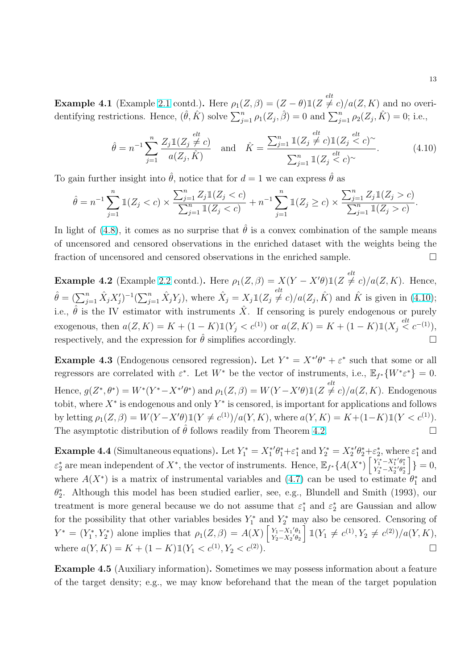<span id="page-14-0"></span>**Example 4.1** (Example [2.1](#page-7-0) contd.). Here  $\rho_1(Z, \beta) = (Z - \theta) \mathbb{1}(Z \neq c) / a(Z, K)$  and no overi-**Example 4.1** (Example 2.1 cond). Here  $p_1(z, \beta) = (z - \nu)^{\frac{1}{2}}(z + \nu)^{\frac{1}{2}}(z, h)$  and he over dentifying restrictions. Hence,  $(\hat{\theta}, \hat{K})$  solve  $\sum_{j=1}^n \rho_1(Z_j, \hat{\beta}) = 0$  and  $\sum_{j=1}^n \rho_2(Z_j, \hat{K}) = 0$ ; i.e.,

$$
\hat{\theta} = n^{-1} \sum_{j=1}^{n} \frac{Z_j \mathbb{1}(Z_j \neq c)}{a(Z_j, \hat{K})} \quad \text{and} \quad \hat{K} = \frac{\sum_{j=1}^{n} \mathbb{1}(Z_j \neq c) \mathbb{1}(Z_j \leq c)^{\sim}}{\sum_{j=1}^{n} \mathbb{1}(Z_j \leq c)^{\sim}}.
$$
 (4.10)

To gain further insight into  $\hat{\theta}$ , notice that for  $d = 1$  we can express  $\hat{\theta}$  as

$$
\hat{\theta} = n^{-1} \sum_{j=1}^n \mathbb{1}(Z_j < c) \times \frac{\sum_{j=1}^n Z_j \mathbb{1}(Z_j < c)}{\sum_{j=1}^n \mathbb{1}(Z_j < c)} + n^{-1} \sum_{j=1}^n \mathbb{1}(Z_j \geq c) \times \frac{\sum_{j=1}^n Z_j \mathbb{1}(Z_j > c)}{\sum_{j=1}^n \mathbb{1}(Z_j > c)}.
$$

In light of [\(4.8\)](#page-13-0), it comes as no surprise that  $\hat{\theta}$  is a convex combination of the sample means of uncensored and censored observations in the enriched dataset with the weights being the fraction of uncensored and censored observations in the enriched sample.  $\Box$ 

**Example 4.2** (Example [2.2](#page-7-0) contd.). Here  $\rho_1(Z, \beta) = X(Y - X'\theta) \mathbb{1}(Z \neq c)/a(Z, K)$ . Hence,  $\hat{\theta} = (\sum_{j=1}^n \hat{X}_j X'_j)^{-1} (\sum_{j=1}^n \hat{X}_j Y_j)$ , where  $\hat{X}_j = X_j \mathbb{1}(Z_j \neq c) / a(Z_j, \hat{K})$  and  $\hat{K}$  is given in (4.10); i.e.,  $\hat{\theta}$  is the IV estimator with instruments  $\hat{X}$ . If censoring is purely endogenous or purely exogenous, then  $a(Z, K) = K + (1 - K) \mathbb{1}(Y_j < c^{(1)})$  or  $a(Z, K) = K + (1 - K) \mathbb{1}(X_j \stackrel{elt}{< c^{-(1)}})$ , respectively, and the expression for  $\hat{\theta}$  simplifies accordingly.

**Example 4.3** (Endogenous censored regression). Let  $Y^* = X^{*\prime}\theta^* + \varepsilon^*$  such that some or all regressors are correlated with  $\varepsilon^*$ . Let  $W^*$  be the vector of instruments, i.e.,  $\mathbb{E}_{f^*}\{W^*\varepsilon^*\}=0$ . Hence,  $g(Z^*,\theta^*) = W^*(Y^* - X^{*\prime}\theta^*)$  and  $\rho_1(Z,\beta) = W(Y - X'\theta)\mathbbm{1}(Z \neq c)/a(Z,K)$ . Endogenous tobit, where  $X^*$  is endogenous and only  $Y^*$  is censored, is important for applications and follows by letting  $\rho_1(Z, \beta) = W(Y - X'\theta) \mathbbm{1}(Y \neq c^{(1)})/a(Y, K)$ , where  $a(Y, K) = K + (1 - K) \mathbbm{1}(Y < c^{(1)})$ . The asymptotic distribution of  $\hat{\theta}$  follows readily from Theorem [4.2.](#page-12-0)

**Example 4.4** (Simultaneous equations). Let  $Y_1^* = X_1^* \theta_1^* + \varepsilon_1^*$  and  $Y_2^* = X_2^* \theta_2^* + \varepsilon_2^*$ , where  $\varepsilon_1^*$  and  $\varepsilon_2^*$  are mean independent of  $X^*$ , the vector of instruments. Hence,  $\mathbb{E}_{f^*}{A(X^*)}$  $+ \varepsilon_2^*, \text{where} \ \begin{cases} Y_1^* - X_1^* {}' \theta_1^* \ Y_2^* - X_2^* {}' \theta_2^* \end{cases}$ :<br>ר  $\} = 0,$ where  $A(X^*)$  is a matrix of instrumental variables and  $(4.7)$  can be used to estimate  $\theta_1^*$  and  $\theta_2^*$ . Although this model has been studied earlier, see, e.g., Blundell and Smith (1993), our treatment is more general because we do not assume that  $\varepsilon_1^*$  and  $\varepsilon_2^*$  are Gaussian and allow for the possibility that other variables besides  $Y_1^*$  and  $Y_2^*$  may also be censored. Censoring of  $Y^* = (Y_1^*, Y_2^*)$  alone implies that  $\rho_1(Z, \beta) = A(X) \left| \frac{Y_1 - X_1' \theta_1}{Y_2 - X_2' \theta_2} \right|$  $Y_1 - X_1'\theta_1 \atop Y_2 - X_2'\theta_2 \thinspace$   $\mathbb{1}(Y_1 \neq c^{(1)}, Y_2 \neq c^{(2)})/a(Y, K),$ where  $a(Y, K) = K + (1 - K) \mathbb{1}(Y_1 < c^{(1)}, Y_2 < c^{(2)})$ .

Example 4.5 (Auxiliary information). Sometimes we may possess information about a feature of the target density; e.g., we may know beforehand that the mean of the target population

13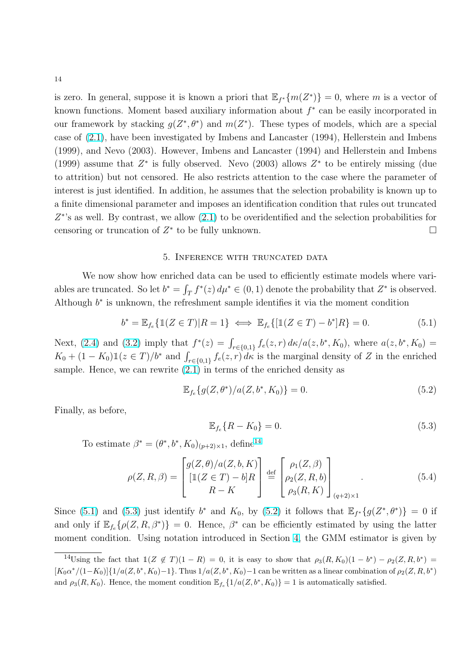<span id="page-15-0"></span>is zero. In general, suppose it is known a priori that  $\mathbb{E}_{f^*}\{m(Z^*)\}=0$ , where m is a vector of known functions. Moment based auxiliary information about  $f^*$  can be easily incorporated in our framework by stacking  $g(Z^*, \theta^*)$  and  $m(Z^*)$ . These types of models, which are a special case of [\(2.1\)](#page-5-0), have been investigated by Imbens and Lancaster (1994), Hellerstein and Imbens (1999), and Nevo (2003). However, Imbens and Lancaster (1994) and Hellerstein and Imbens (1999) assume that  $Z^*$  is fully observed. Nevo (2003) allows  $Z^*$  to be entirely missing (due to attrition) but not censored. He also restricts attention to the case where the parameter of interest is just identified. In addition, he assumes that the selection probability is known up to a finite dimensional parameter and imposes an identification condition that rules out truncated  $Z^*$ 's as well. By contrast, we allow  $(2.1)$  to be overidentified and the selection probabilities for censoring or truncation of  $Z^*$  to be fully unknown.  $\Box$ 

#### 5. Inference with truncated data

We now show how enriched data can be used to efficiently estimate models where variables are truncated. So let  $b^* = \int_T f^*(z) d\mu^* \in (0, 1)$  denote the probability that  $Z^*$  is observed. Although  $b^*$  is unknown, the refreshment sample identifies it via the moment condition

$$
b^* = \mathbb{E}_{f_e} \{ \mathbb{1}(Z \in T) | R = 1 \} \iff \mathbb{E}_{f_e} \{ [\mathbb{1}(Z \in T) - b^*]R \} = 0.
$$
 (5.1)

Next, [\(2.4\)](#page-6-0) and [\(3.2\)](#page-9-0) imply that  $f^*(z) = \int_{r \in \{0,1\}} f_e(z, r) d\kappa/a(z, b^*, K_0)$ , where  $a(z, b^*, K_0) = K_0 + (1 - K_0) \mathbb{1}(z \in T)/b^*$  and  $\int_{r \in \{0,1\}} f_e(z, r) d\kappa$  is the marginal density of Z in the enriched sample. Hence, we can rewrite [\(2.1\)](#page-5-0) in terms of the enriched density as

$$
\mathbb{E}_{f_e}\{g(Z,\theta^*)/a(Z,b^*,K_0)\}=0.\tag{5.2}
$$

Finally, as before,

$$
\mathbb{E}_{f_e}\{R - K_0\} = 0.\tag{5.3}
$$

To estimate  $\beta^* = (\theta^*, b^*, K_0)_{(p+2)\times 1}$ , define<sup>14</sup>

$$
\rho(Z, R, \beta) = \begin{bmatrix} g(Z, \theta) / a(Z, b, K) \\ \left[ \mathbb{1}(Z \in T) - b \right] R \\ R - K \end{bmatrix} \stackrel{\text{def}}{=} \begin{bmatrix} \rho_1(Z, \beta) \\ \rho_2(Z, R, b) \\ \rho_3(R, K) \end{bmatrix}_{(q+2) \times 1} . \tag{5.4}
$$

Since (5.1) and (5.3) just identify  $b^*$  and  $K_0$ , by (5.2) it follows that  $\mathbb{E}_{f^*}\{g(Z^*,\theta^*)\}=0$  if and only if  $\mathbb{E}_{f_e} \{\rho(Z, R, \beta^*)\} = 0$ . Hence,  $\beta^*$  can be efficiently estimated by using the latter moment condition. Using notation introduced in Section [4,](#page-10-0) the GMM estimator is given by

<sup>&</sup>lt;sup>14</sup>Using the fact that  $\mathbb{1}(Z \notin T)(1 - R) = 0$ , it is easy to show that  $\rho_3(R, K_0)(1 - b^*) - \rho_2(Z, R, b^*) =$  $[K_0\alpha^*/(1-K_0)]\{1/a(Z, b^*, K_0)-1\}$ . Thus  $1/a(Z, b^*, K_0)-1$  can be written as a linear combination of  $\rho_2(Z, R, b^*)$ and  $\rho_3(R, K_0)$ . Hence, the moment condition  $\mathbb{E}_{f_e} \{1/a(Z, b^*, K_0)\} = 1$  is automatically satisfied.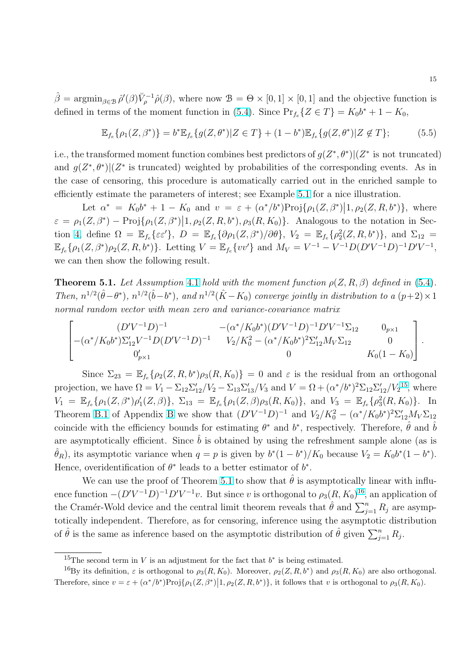<span id="page-16-0"></span> $\hat{\beta} = \operatorname{argmin}_{\beta \in \mathcal{B}} \hat{\rho}'(\beta) \check{V}_{\rho}^{-1} \hat{\rho}(\beta)$ , where now  $\mathcal{B} = \Theta \times [0, 1] \times [0, 1]$  and the objective function is defined in terms of the moment function in [\(5.4\)](#page-15-0). Since  $Pr_{f_e} \{Z \in T\} = K_0 b^* + 1 - K_0$ ,

$$
\mathbb{E}_{f_e}\{\rho_1(Z,\beta^*)\} = b^* \mathbb{E}_{f_e}\{g(Z,\theta^*)|Z \in T\} + (1-b^*) \mathbb{E}_{f_e}\{g(Z,\theta^*)|Z \notin T\};\tag{5.5}
$$

i.e., the transformed moment function combines best predictors of  $g(Z^*,\theta^*)|(Z^*)$  is not truncated) and  $g(Z^*,\theta^*)$  ( $Z^*$  is truncated) weighted by probabilities of the corresponding events. As in the case of censoring, this procedure is automatically carried out in the enriched sample to efficiently estimate the parameters of interest; see Example [5.1](#page-17-0) for a nice illustration.

Let  $\alpha^* = K_0 b^* + 1 - K_0$  and  $v = \varepsilon + (\alpha^* / b^*) \text{Proj} \{\rho_1(Z, \beta^*) | 1, \rho_2(Z, R, b^*) \},$  where  $\varepsilon = \rho_1(Z, \beta^*) - \text{Proj}\{\rho_1(Z, \beta^*) | 1, \rho_2(Z, R, b^*), \rho_3(R, K_0)\}.$  Analogous to the notation in Sec-tion [4,](#page-10-0) define  $\Omega = \mathbb{E}_{f_e} \{ \varepsilon \varepsilon' \}, D = \mathbb{E}_{f_e} \{ \partial \rho_1(Z, \beta^*) / \partial \theta \}, V_2 = \mathbb{E}_{f_e} \{ \rho_2^2(Z, R, b^*) \},$  and  $\Sigma_{12} =$  $\mathbb{E}_{f_e} \{ \rho_1(Z, \beta^*) \rho_2(Z, R, b^*) \}.$  Letting  $V = \mathbb{E}_{f_e} \{ vv' \}$  and  $M_V = V^{-1} - V^{-1} D (D' V^{-1} D)^{-1} D' V^{-1},$ we can then show the following result.

**Theorem 5.1.** Let Assumption [4.1](#page-11-0) hold with the moment function  $\rho(Z, R, \beta)$  defined in [\(5.4\)](#page-15-0). Then,  $n^{1/2}(\hat{\theta}-\theta^*)$ ,  $n^{1/2}(\hat{b}-b^*)$ , and  $n^{1/2}(\hat{K}-K_0)$  converge jointly in distribution to a  $(p+2) \times 1$ normal random vector with mean zero and variance-covariance matrix

$$
\begin{bmatrix}\n(D'V^{-1}D)^{-1} & -(\alpha^*/K_0b^*)(D'V^{-1}D)^{-1}D'V^{-1}\Sigma_{12} & 0_{p\times 1} \\
-(\alpha^*/K_0b^*)\Sigma_{12}'V^{-1}D(D'V^{-1}D)^{-1} & V_2/K_0^2 - (\alpha^*/K_0b^*)^2\Sigma_{12}'M_V\Sigma_{12} & 0 \\
0 & 0 & K_0(1-K_0)\n\end{bmatrix}.
$$

Since  $\Sigma_{23} = \mathbb{E}_{f_e} \{ \rho_2(Z, R, b^*) \rho_3(R, K_0) \} = 0$  and  $\varepsilon$  is the residual from an orthogonal projection, we have  $\Omega = V_1 - \Sigma_{12} \Sigma_{12}' / V_2 - \Sigma_{13} \Sigma_{13}' / V_3$  and  $V = \Omega + (\alpha^*/b^*)^2 \Sigma_{12} \Sigma_{12}' / V_2^{15}$ , where  $V_1 = \mathbb{E}_{f_e} \{ \rho_1(Z, \beta^*) \rho_1'(Z, \beta) \}, \ \Sigma_{13} = \mathbb{E}_{f_e} \{ \rho_1(Z, \beta) \rho_3(R, K_0) \}, \text{ and } V_3 = \mathbb{E}_{f_e} \{ \rho_3^2(R, K_0) \}.$  In Theorem [B.1](#page-31-0) of Appendix [B](#page-30-0) we show that  $(D'V^{-1}D)^{-1}$  and  $V_2/K_0^2 - (\alpha^*/K_0b^*)^2\Sigma_{12}'M_V\Sigma_{12}$ coincide with the efficiency bounds for estimating  $\theta^*$  and  $\dot{b}^*$ , respectively. Therefore,  $\hat{\theta}$  and  $\hat{b}$ are asymptotically efficient. Since  $\hat{b}$  is obtained by using the refreshment sample alone (as is  $\hat{\theta}_R$ , its asymptotic variance when  $q = p$  is given by  $b^*(1 - b^*)/K_0$  because  $V_2 = K_0 b^*(1 - b^*)$ . Hence, overidentification of  $\theta^*$  leads to a better estimator of  $b^*$ .

We can use the proof of Theorem 5.1 to show that  $\hat{\theta}$  is asymptotically linear with influence function  $-(D'V^{-1}D)^{-1}D'V^{-1}v$ . But since v is orthogonal to  $\rho_3(R, K_0)^{16}$ , an application of the Cramér-Wold device and the central limit theorem reveals that  $\hat{\theta}$  and  $\sum_{j=1}^{n} R_j$  are asymptotically independent. Therefore, as for censoring, inference using the asymptotic distribution of  $\hat{\theta}$  is the same as inference based on the asymptotic distribution of  $\hat{\theta}$  given  $\sum_{j=1}^{n} R_j$ .

<sup>&</sup>lt;sup>15</sup>The second term in V is an adjustment for the fact that  $b^*$  is being estimated.

<sup>&</sup>lt;sup>16</sup>By its definition,  $\varepsilon$  is orthogonal to  $\rho_3(R, K_0)$ . Moreover,  $\rho_2(Z, R, b^*)$  and  $\rho_3(R, K_0)$  are also orthogonal. Therefore, since  $v = \varepsilon + (\alpha^*/b^*)\text{Proj}\{\rho_1(Z,\beta^*) | 1, \rho_2(Z,R,b^*)\}$ , it follows that v is orthogonal to  $\rho_3(R, K_0)$ .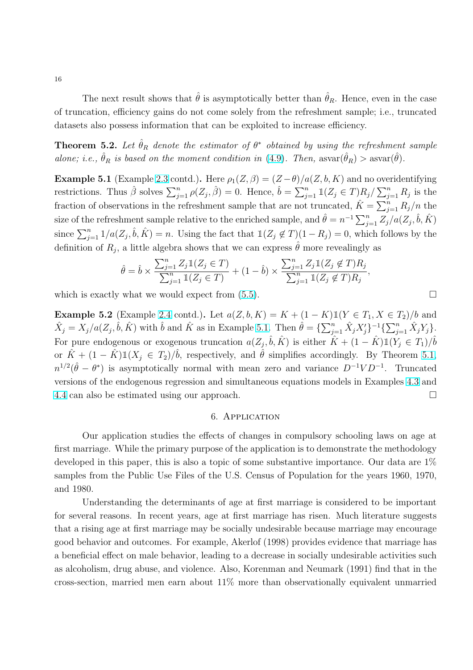<span id="page-17-0"></span>The next result shows that  $\hat{\theta}$  is asymptotically better than  $\hat{\theta}_R$ . Hence, even in the case of truncation, efficiency gains do not come solely from the refreshment sample; i.e., truncated datasets also possess information that can be exploited to increase efficiency.

**Theorem 5.2.** Let  $\hat{\theta}_R$  denote the estimator of  $\theta^*$  obtained by using the refreshment sample alone; i.e.,  $\hat{\theta}_R$  is based on the moment condition in [\(4.9\)](#page-13-0). Then,  $\text{asvar}(\hat{\theta}_R) > \text{asvar}(\hat{\theta})$ .

**Example 5.1** (Example [2.3](#page-8-0) contd.). Here  $\rho_1(Z, \beta) = (Z - \theta)/a(Z, b, K)$  and no overidentifying **Example 3.1** (Example 2.5 contar). Here  $p_1(z, \beta) = (z - \nu)/\alpha$ <br>restrictions. Thus  $\hat{\beta}$  solves  $\sum_{j=1}^n \rho(Z_j, \hat{\beta}) = 0$ . Hence,  $\hat{b} = \sum_{j=1}^n \alpha_j$  $_{j=1}^{n} 1\!\!1 (Z_j \in T) R_j/$  $\sum_{n=1}^{\infty}$  $\sum_{j=1}^n R_j$  is the fraction of observations in the refreshment sample that are not truncated,  $\hat{K} = \sum_{j=1}^{n} R_j/n$  the  $\sum_{n=1}^{\infty}$ size of the refreshment sample relative to the enriched sample, and  $\hat{\theta} = n^{-1} \sum_{j=1}^{n} Z_j / a(Z_j, \hat{b}, \hat{K})$ since  $\sum_{j=1}^{n} 1/a(Z_j, \hat{b}, \hat{K}) = n$ . Using the fact that  $1(Z_j \notin T)(1 - R_j) = 0$ , which follows by the definition of  $R_j$ , a little algebra shows that we can express  $\hat{\theta}$  more revealingly as

$$
\hat{\theta} = \hat{b} \times \frac{\sum_{j=1}^{n} Z_j \mathbb{1}(Z_j \in T)}{\sum_{j=1}^{n} \mathbb{1}(Z_j \in T)} + (1 - \hat{b}) \times \frac{\sum_{j=1}^{n} Z_j \mathbb{1}(Z_j \notin T) R_j}{\sum_{j=1}^{n} \mathbb{1}(Z_j \notin T) R_j},
$$

which is exactly what we would expect from  $(5.5)$ .

**Example 5.2** (Example [2.4](#page-8-0) contd.). Let  $a(Z, b, K) = K + (1 - K) \mathbb{1}(Y \in T_1, X \in T_2)/b$  and **Example 5.2** (Example 2.4 cond), Let  $a(2, b, K) = K + (1 - K) \mathbb{1}(1 - C \mathbb{1}), K \in \mathbb{1}/j$  and  $\hat{X}_j = X_j/a(Z_j, \hat{b}, \hat{K})$  with  $\hat{b}$  and  $\hat{K}$  as in Example 5.1. Then  $\hat{\theta} = {\sum_{j=1}^n \hat{X}_j X'_j}^{-1} {\sum_{j=1}^n \hat{X}_j Y_j}.$ For pure endogenous or exogenous truncation  $a(Z_j, \hat{b}, \hat{K})$  is either  $\hat{K} + (1 - \hat{K}) \mathbb{1}(Y_j \in T_1)/\hat{b}$ or  $\hat{K} + (1 - \hat{K}) \mathbb{1}(X_j \in T_2) / \hat{b}$ , respectively, and  $\hat{\theta}$  simplifies accordingly. By Theorem [5.1,](#page-16-0)  $n^{1/2}(\hat{\theta} - \theta^*)$  is asymptotically normal with mean zero and variance  $D^{-1}VD^{-1}$ . Truncated versions of the endogenous regression and simultaneous equations models in Examples [4.3](#page-14-0) and [4.4](#page-14-0) can also be estimated using our approach.

#### 6. Application

Our application studies the effects of changes in compulsory schooling laws on age at first marriage. While the primary purpose of the application is to demonstrate the methodology developed in this paper, this is also a topic of some substantive importance. Our data are 1% samples from the Public Use Files of the U.S. Census of Population for the years 1960, 1970, and 1980.

Understanding the determinants of age at first marriage is considered to be important for several reasons. In recent years, age at first marriage has risen. Much literature suggests that a rising age at first marriage may be socially undesirable because marriage may encourage good behavior and outcomes. For example, Akerlof (1998) provides evidence that marriage has a beneficial effect on male behavior, leading to a decrease in socially undesirable activities such as alcoholism, drug abuse, and violence. Also, Korenman and Neumark (1991) find that in the cross-section, married men earn about 11% more than observationally equivalent unmarried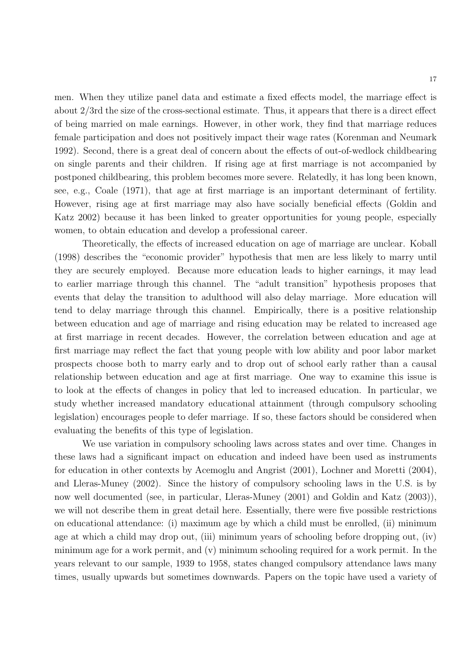men. When they utilize panel data and estimate a fixed effects model, the marriage effect is about 2/3rd the size of the cross-sectional estimate. Thus, it appears that there is a direct effect of being married on male earnings. However, in other work, they find that marriage reduces female participation and does not positively impact their wage rates (Korenman and Neumark 1992). Second, there is a great deal of concern about the effects of out-of-wedlock childbearing on single parents and their children. If rising age at first marriage is not accompanied by postponed childbearing, this problem becomes more severe. Relatedly, it has long been known, see, e.g., Coale (1971), that age at first marriage is an important determinant of fertility. However, rising age at first marriage may also have socially beneficial effects (Goldin and Katz 2002) because it has been linked to greater opportunities for young people, especially women, to obtain education and develop a professional career.

Theoretically, the effects of increased education on age of marriage are unclear. Koball (1998) describes the "economic provider" hypothesis that men are less likely to marry until they are securely employed. Because more education leads to higher earnings, it may lead to earlier marriage through this channel. The "adult transition" hypothesis proposes that events that delay the transition to adulthood will also delay marriage. More education will tend to delay marriage through this channel. Empirically, there is a positive relationship between education and age of marriage and rising education may be related to increased age at first marriage in recent decades. However, the correlation between education and age at first marriage may reflect the fact that young people with low ability and poor labor market prospects choose both to marry early and to drop out of school early rather than a causal relationship between education and age at first marriage. One way to examine this issue is to look at the effects of changes in policy that led to increased education. In particular, we study whether increased mandatory educational attainment (through compulsory schooling legislation) encourages people to defer marriage. If so, these factors should be considered when evaluating the benefits of this type of legislation.

We use variation in compulsory schooling laws across states and over time. Changes in these laws had a significant impact on education and indeed have been used as instruments for education in other contexts by Acemoglu and Angrist (2001), Lochner and Moretti (2004), and Lleras-Muney (2002). Since the history of compulsory schooling laws in the U.S. is by now well documented (see, in particular, Lleras-Muney (2001) and Goldin and Katz (2003)), we will not describe them in great detail here. Essentially, there were five possible restrictions on educational attendance: (i) maximum age by which a child must be enrolled, (ii) minimum age at which a child may drop out, (iii) minimum years of schooling before dropping out, (iv) minimum age for a work permit, and (v) minimum schooling required for a work permit. In the years relevant to our sample, 1939 to 1958, states changed compulsory attendance laws many times, usually upwards but sometimes downwards. Papers on the topic have used a variety of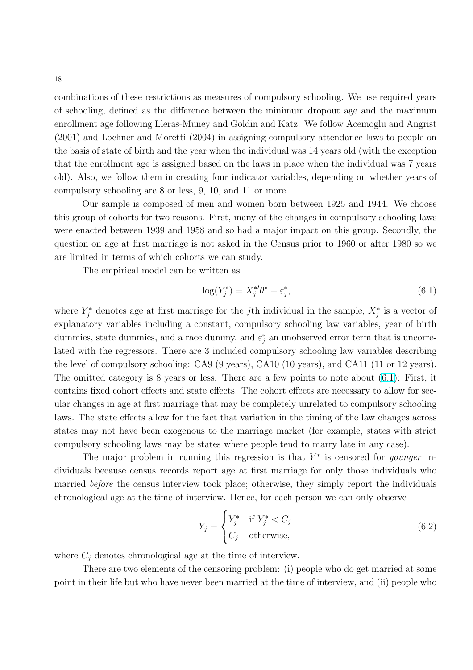<span id="page-19-0"></span>combinations of these restrictions as measures of compulsory schooling. We use required years of schooling, defined as the difference between the minimum dropout age and the maximum enrollment age following Lleras-Muney and Goldin and Katz. We follow Acemoglu and Angrist (2001) and Lochner and Moretti (2004) in assigning compulsory attendance laws to people on the basis of state of birth and the year when the individual was 14 years old (with the exception that the enrollment age is assigned based on the laws in place when the individual was 7 years old). Also, we follow them in creating four indicator variables, depending on whether years of compulsory schooling are 8 or less, 9, 10, and 11 or more.

Our sample is composed of men and women born between 1925 and 1944. We choose this group of cohorts for two reasons. First, many of the changes in compulsory schooling laws were enacted between 1939 and 1958 and so had a major impact on this group. Secondly, the question on age at first marriage is not asked in the Census prior to 1960 or after 1980 so we are limited in terms of which cohorts we can study.

The empirical model can be written as

$$
\log(Y_j^*) = X_j^* \theta^* + \varepsilon_j^*,\tag{6.1}
$$

where  $Y_j^*$  denotes age at first marriage for the *j*th individual in the sample,  $X_j^*$  is a vector of explanatory variables including a constant, compulsory schooling law variables, year of birth dummies, state dummies, and a race dummy, and  $\varepsilon_j^*$  an unobserved error term that is uncorrelated with the regressors. There are 3 included compulsory schooling law variables describing the level of compulsory schooling: CA9 (9 years), CA10 (10 years), and CA11 (11 or 12 years). The omitted category is 8 years or less. There are a few points to note about (6.1): First, it contains fixed cohort effects and state effects. The cohort effects are necessary to allow for secular changes in age at first marriage that may be completely unrelated to compulsory schooling laws. The state effects allow for the fact that variation in the timing of the law changes across states may not have been exogenous to the marriage market (for example, states with strict compulsory schooling laws may be states where people tend to marry late in any case).

The major problem in running this regression is that  $Y^*$  is censored for *younger* individuals because census records report age at first marriage for only those individuals who married before the census interview took place; otherwise, they simply report the individuals chronological age at the time of interview. Hence, for each person we can only observe  $\overline{a}$ 

$$
Y_j = \begin{cases} Y_j^* & \text{if } Y_j^* < C_j \\ C_j & \text{otherwise,} \end{cases} \tag{6.2}
$$

where  $C_i$  denotes chronological age at the time of interview.

There are two elements of the censoring problem: (i) people who do get married at some point in their life but who have never been married at the time of interview, and (ii) people who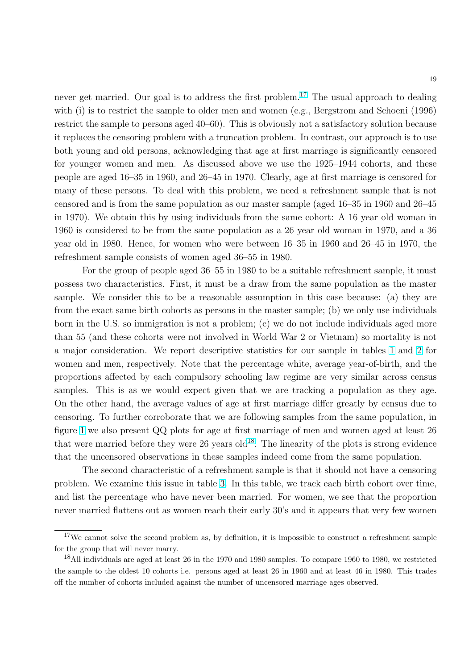never get married. Our goal is to address the first problem.<sup>17</sup> The usual approach to dealing with (i) is to restrict the sample to older men and women (e.g., Bergstrom and Schoeni (1996) restrict the sample to persons aged 40–60). This is obviously not a satisfactory solution because it replaces the censoring problem with a truncation problem. In contrast, our approach is to use both young and old persons, acknowledging that age at first marriage is significantly censored for younger women and men. As discussed above we use the 1925–1944 cohorts, and these people are aged 16–35 in 1960, and 26–45 in 1970. Clearly, age at first marriage is censored for many of these persons. To deal with this problem, we need a refreshment sample that is not censored and is from the same population as our master sample (aged 16–35 in 1960 and 26–45 in 1970). We obtain this by using individuals from the same cohort: A 16 year old woman in 1960 is considered to be from the same population as a 26 year old woman in 1970, and a 36 year old in 1980. Hence, for women who were between 16–35 in 1960 and 26–45 in 1970, the refreshment sample consists of women aged 36–55 in 1980.

For the group of people aged 36–55 in 1980 to be a suitable refreshment sample, it must possess two characteristics. First, it must be a draw from the same population as the master sample. We consider this to be a reasonable assumption in this case because: (a) they are from the exact same birth cohorts as persons in the master sample; (b) we only use individuals born in the U.S. so immigration is not a problem; (c) we do not include individuals aged more than 55 (and these cohorts were not involved in World War 2 or Vietnam) so mortality is not a major consideration. We report descriptive statistics for our sample in tables [1](#page-33-0) and [2](#page-34-0) for women and men, respectively. Note that the percentage white, average year-of-birth, and the proportions affected by each compulsory schooling law regime are very similar across census samples. This is as we would expect given that we are tracking a population as they age. On the other hand, the average values of age at first marriage differ greatly by census due to censoring. To further corroborate that we are following samples from the same population, in figure [1](#page-39-0) we also present QQ plots for age at first marriage of men and women aged at least 26 that were married before they were  $26$  years old<sup>18</sup>. The linearity of the plots is strong evidence that the uncensored observations in these samples indeed come from the same population.

The second characteristic of a refreshment sample is that it should not have a censoring problem. We examine this issue in table [3.](#page-35-0) In this table, we track each birth cohort over time, and list the percentage who have never been married. For women, we see that the proportion never married flattens out as women reach their early 30's and it appears that very few women

 $17$ We cannot solve the second problem as, by definition, it is impossible to construct a refreshment sample for the group that will never marry.

<sup>&</sup>lt;sup>18</sup>All individuals are aged at least 26 in the 1970 and 1980 samples. To compare 1960 to 1980, we restricted the sample to the oldest 10 cohorts i.e. persons aged at least 26 in 1960 and at least 46 in 1980. This trades off the number of cohorts included against the number of uncensored marriage ages observed.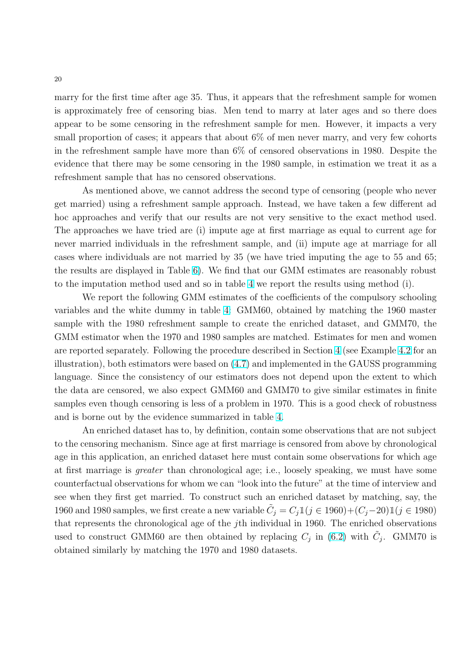marry for the first time after age 35. Thus, it appears that the refreshment sample for women is approximately free of censoring bias. Men tend to marry at later ages and so there does appear to be some censoring in the refreshment sample for men. However, it impacts a very small proportion of cases; it appears that about  $6\%$  of men never marry, and very few cohorts in the refreshment sample have more than 6% of censored observations in 1980. Despite the evidence that there may be some censoring in the 1980 sample, in estimation we treat it as a refreshment sample that has no censored observations.

As mentioned above, we cannot address the second type of censoring (people who never get married) using a refreshment sample approach. Instead, we have taken a few different ad hoc approaches and verify that our results are not very sensitive to the exact method used. The approaches we have tried are (i) impute age at first marriage as equal to current age for never married individuals in the refreshment sample, and (ii) impute age at marriage for all cases where individuals are not married by 35 (we have tried imputing the age to 55 and 65; the results are displayed in Table [6\)](#page-37-0). We find that our GMM estimates are reasonably robust to the imputation method used and so in table [4](#page-36-0) we report the results using method (i).

We report the following GMM estimates of the coefficients of the compulsory schooling variables and the white dummy in table [4:](#page-36-0) GMM60, obtained by matching the 1960 master sample with the 1980 refreshment sample to create the enriched dataset, and GMM70, the GMM estimator when the 1970 and 1980 samples are matched. Estimates for men and women are reported separately. Following the procedure described in Section [4](#page-10-0) (see Example [4.2](#page-14-0) for an illustration), both estimators were based on [\(4.7\)](#page-12-0) and implemented in the GAUSS programming language. Since the consistency of our estimators does not depend upon the extent to which the data are censored, we also expect GMM60 and GMM70 to give similar estimates in finite samples even though censoring is less of a problem in 1970. This is a good check of robustness and is borne out by the evidence summarized in table [4.](#page-36-0)

An enriched dataset has to, by definition, contain some observations that are not subject to the censoring mechanism. Since age at first marriage is censored from above by chronological age in this application, an enriched dataset here must contain some observations for which age at first marriage is greater than chronological age; i.e., loosely speaking, we must have some counterfactual observations for whom we can "look into the future" at the time of interview and see when they first get married. To construct such an enriched dataset by matching, say, the 1960 and 1980 samples, we first create a new variable  $\tilde{C}_j = C_j \mathbbm{1}(j \in 1960) + (C_j - 20)\mathbbm{1}(j \in 1980)$ that represents the chronological age of the  $j$ th individual in 1960. The enriched observations used to construct GMM60 are then obtained by replacing  $C_j$  in [\(6.2\)](#page-19-0) with  $\tilde{C}_j$ . GMM70 is obtained similarly by matching the 1970 and 1980 datasets.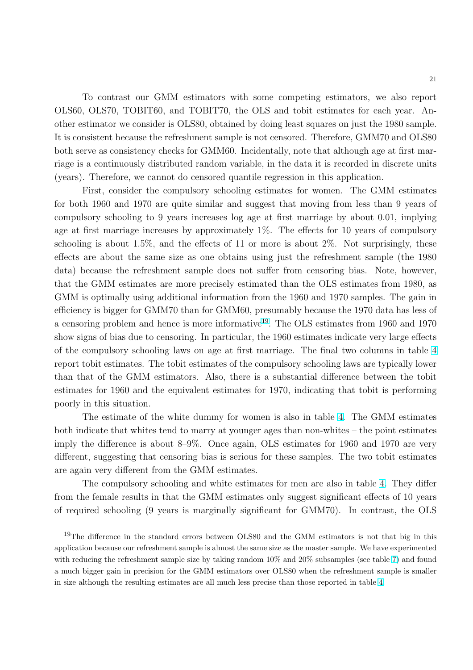To contrast our GMM estimators with some competing estimators, we also report OLS60, OLS70, TOBIT60, and TOBIT70, the OLS and tobit estimates for each year. Another estimator we consider is OLS80, obtained by doing least squares on just the 1980 sample. It is consistent because the refreshment sample is not censored. Therefore, GMM70 and OLS80 both serve as consistency checks for GMM60. Incidentally, note that although age at first marriage is a continuously distributed random variable, in the data it is recorded in discrete units (years). Therefore, we cannot do censored quantile regression in this application.

First, consider the compulsory schooling estimates for women. The GMM estimates for both 1960 and 1970 are quite similar and suggest that moving from less than 9 years of compulsory schooling to 9 years increases log age at first marriage by about 0.01, implying age at first marriage increases by approximately 1%. The effects for 10 years of compulsory schooling is about 1.5%, and the effects of 11 or more is about 2%. Not surprisingly, these effects are about the same size as one obtains using just the refreshment sample (the 1980 data) because the refreshment sample does not suffer from censoring bias. Note, however, that the GMM estimates are more precisely estimated than the OLS estimates from 1980, as GMM is optimally using additional information from the 1960 and 1970 samples. The gain in efficiency is bigger for GMM70 than for GMM60, presumably because the 1970 data has less of a censoring problem and hence is more informative<sup>19</sup>. The OLS estimates from 1960 and 1970 show signs of bias due to censoring. In particular, the 1960 estimates indicate very large effects of the compulsory schooling laws on age at first marriage. The final two columns in table [4](#page-36-0) report tobit estimates. The tobit estimates of the compulsory schooling laws are typically lower than that of the GMM estimators. Also, there is a substantial difference between the tobit estimates for 1960 and the equivalent estimates for 1970, indicating that tobit is performing poorly in this situation.

The estimate of the white dummy for women is also in table [4.](#page-36-0) The GMM estimates both indicate that whites tend to marry at younger ages than non-whites – the point estimates imply the difference is about 8–9%. Once again, OLS estimates for 1960 and 1970 are very different, suggesting that censoring bias is serious for these samples. The two tobit estimates are again very different from the GMM estimates.

The compulsory schooling and white estimates for men are also in table [4.](#page-36-0) They differ from the female results in that the GMM estimates only suggest significant effects of 10 years of required schooling (9 years is marginally significant for GMM70). In contrast, the OLS

<sup>&</sup>lt;sup>19</sup>The difference in the standard errors between OLS80 and the GMM estimators is not that big in this application because our refreshment sample is almost the same size as the master sample. We have experimented with reducing the refreshment sample size by taking random 10% and 20% subsamples (see table [7\)](#page-38-0) and found a much bigger gain in precision for the GMM estimators over OLS80 when the refreshment sample is smaller in size although the resulting estimates are all much less precise than those reported in table [4.](#page-36-0)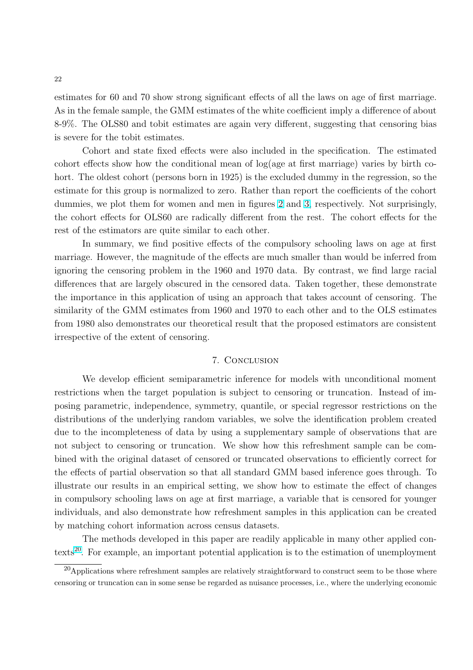<span id="page-23-0"></span>estimates for 60 and 70 show strong significant effects of all the laws on age of first marriage. As in the female sample, the GMM estimates of the white coefficient imply a difference of about 8-9%. The OLS80 and tobit estimates are again very different, suggesting that censoring bias is severe for the tobit estimates.

Cohort and state fixed effects were also included in the specification. The estimated cohort effects show how the conditional mean of log(age at first marriage) varies by birth cohort. The oldest cohort (persons born in 1925) is the excluded dummy in the regression, so the estimate for this group is normalized to zero. Rather than report the coefficients of the cohort dummies, we plot them for women and men in figures [2](#page-40-0) and [3,](#page-41-0) respectively. Not surprisingly, the cohort effects for OLS60 are radically different from the rest. The cohort effects for the rest of the estimators are quite similar to each other.

In summary, we find positive effects of the compulsory schooling laws on age at first marriage. However, the magnitude of the effects are much smaller than would be inferred from ignoring the censoring problem in the 1960 and 1970 data. By contrast, we find large racial differences that are largely obscured in the censored data. Taken together, these demonstrate the importance in this application of using an approach that takes account of censoring. The similarity of the GMM estimates from 1960 and 1970 to each other and to the OLS estimates from 1980 also demonstrates our theoretical result that the proposed estimators are consistent irrespective of the extent of censoring.

#### 7. Conclusion

We develop efficient semiparametric inference for models with unconditional moment restrictions when the target population is subject to censoring or truncation. Instead of imposing parametric, independence, symmetry, quantile, or special regressor restrictions on the distributions of the underlying random variables, we solve the identification problem created due to the incompleteness of data by using a supplementary sample of observations that are not subject to censoring or truncation. We show how this refreshment sample can be combined with the original dataset of censored or truncated observations to efficiently correct for the effects of partial observation so that all standard GMM based inference goes through. To illustrate our results in an empirical setting, we show how to estimate the effect of changes in compulsory schooling laws on age at first marriage, a variable that is censored for younger individuals, and also demonstrate how refreshment samples in this application can be created by matching cohort information across census datasets.

The methods developed in this paper are readily applicable in many other applied contexts<sup>20</sup>. For example, an important potential application is to the estimation of unemployment

 $^{20}$ Applications where refreshment samples are relatively straightforward to construct seem to be those where censoring or truncation can in some sense be regarded as nuisance processes, i.e., where the underlying economic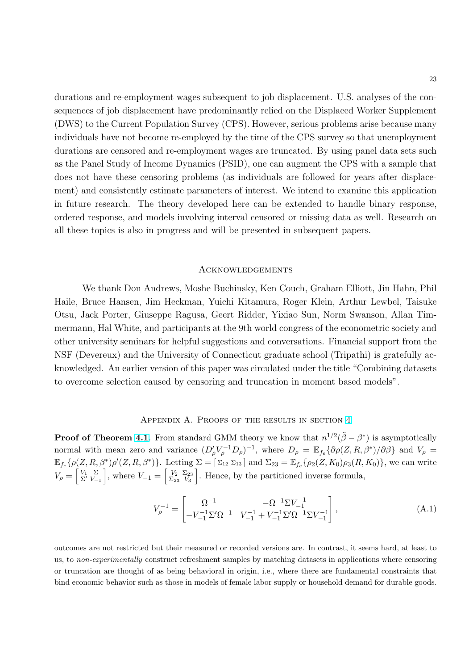<span id="page-24-0"></span>durations and re-employment wages subsequent to job displacement. U.S. analyses of the consequences of job displacement have predominantly relied on the Displaced Worker Supplement (DWS) to the Current Population Survey (CPS). However, serious problems arise because many individuals have not become re-employed by the time of the CPS survey so that unemployment durations are censored and re-employment wages are truncated. By using panel data sets such as the Panel Study of Income Dynamics (PSID), one can augment the CPS with a sample that does not have these censoring problems (as individuals are followed for years after displacement) and consistently estimate parameters of interest. We intend to examine this application in future research. The theory developed here can be extended to handle binary response, ordered response, and models involving interval censored or missing data as well. Research on all these topics is also in progress and will be presented in subsequent papers.

#### Acknowledgements

We thank Don Andrews, Moshe Buchinsky, Ken Couch, Graham Elliott, Jin Hahn, Phil Haile, Bruce Hansen, Jim Heckman, Yuichi Kitamura, Roger Klein, Arthur Lewbel, Taisuke Otsu, Jack Porter, Giuseppe Ragusa, Geert Ridder, Yixiao Sun, Norm Swanson, Allan Timmermann, Hal White, and participants at the 9th world congress of the econometric society and other university seminars for helpful suggestions and conversations. Financial support from the NSF (Devereux) and the University of Connecticut graduate school (Tripathi) is gratefully acknowledged. An earlier version of this paper was circulated under the title "Combining datasets to overcome selection caused by censoring and truncation in moment based models".

#### Appendix A. Proofs of the results in section [4](#page-10-0)

**Proof of Theorem [4.1](#page-11-0)**. From standard GMM theory we know that  $n^{1/2}(\tilde{\beta} - \beta^*)$  is asymptotically normal with mean zero and variance  $(D'_\rho V_\rho^{-1} D_\rho)^{-1}$ , where  $D_\rho = \mathbb{E}_{f_e} {\partial \rho (Z, R, \beta^*)}/{\partial \beta}$  and  $V_\rho =$  $\mathbb{E}_{f_e} \{\rho(Z, R, \beta^*) \rho'(Z, R, \beta^*)\}.$  Letting  $\Sigma = [\Sigma_{12} \Sigma_{13}]$  and  $\Sigma_{23} = \mathbb{E}_{f_e} \{\rho_2(Z, K_0) \rho_3(R, K_0)\},$  we can write  $V_{\rho} = \begin{bmatrix} V_1 & \Sigma \\ \Sigma' & V_{-1} \end{bmatrix}$ , where  $V_{-1} = \begin{bmatrix} V_2 & \Sigma_{23} \\ \Sigma_{23} & V_3 \end{bmatrix}$  $\sum_{23}^{V_2} \frac{\sum_{23}}{V_3}$ . Hence, by the partitioned inverse formula,

$$
V_{\rho}^{-1} = \begin{bmatrix} \Omega^{-1} & -\Omega^{-1} \Sigma V_{-1}^{-1} \\ -V_{-1}^{-1} \Sigma' \Omega^{-1} & V_{-1}^{-1} + V_{-1}^{-1} \Sigma' \Omega^{-1} \Sigma V_{-1}^{-1} \end{bmatrix},
$$
(A.1)

outcomes are not restricted but their measured or recorded versions are. In contrast, it seems hard, at least to us, to non-experimentally construct refreshment samples by matching datasets in applications where censoring or truncation are thought of as being behavioral in origin, i.e., where there are fundamental constraints that bind economic behavior such as those in models of female labor supply or household demand for durable goods.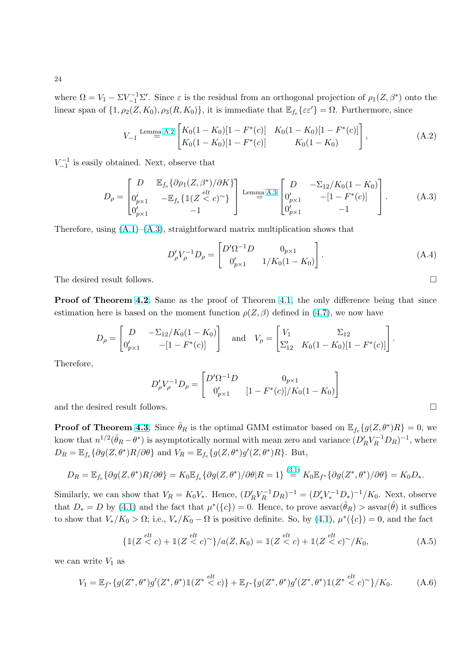where  $\Omega = V_1 - \Sigma V_{-1}^{-1} \Sigma'$ . Since  $\varepsilon$  is the residual from an orthogonal projection of  $\rho_1(Z, \beta^*)$  onto the linear span of  $\{1, \rho_2(Z, K_0), \rho_3(R, K_0)\}\$ , it is immediate that  $\mathbb{E}_{f_e}\{\varepsilon \varepsilon'\} = \Omega$ . Furthermore, since

$$
V_{-1} \stackrel{\text{Lemma A.2}}{=} \begin{bmatrix} K_0(1 - K_0)[1 - F^*(c)] & K_0(1 - K_0)[1 - F^*(c)] \\ K_0(1 - K_0)[1 - F^*(c)] & K_0(1 - K_0) \end{bmatrix},
$$
\n(A.2)

 $V_{-1}^{-1}$  is easily obtained. Next, observe that

$$
D_{\rho} = \begin{bmatrix} D & \mathbb{E}_{f_e} \{ \partial \rho_1(Z, \beta^*) / \partial K \} \\ 0'_{p \times 1} & -\mathbb{E}_{f_e} \{ \mathbb{1}(Z \leq c)^{\sim} \} \\ 0'_{p \times 1} & -1 \end{bmatrix} \xrightarrow{\text{Lemma A.3}} \begin{bmatrix} D & -\Sigma_{12} / K_0 (1 - K_0) \\ 0'_{p \times 1} & -[1 - F^*(c)] \\ 0'_{p \times 1} & -1 \end{bmatrix} .
$$
 (A.3)

Therefore, using  $(A.1)$ – $(A.3)$ , straightforward matrix multiplication shows that

$$
D'_{\rho}V_{\rho}^{-1}D_{\rho} = \begin{bmatrix} D'\Omega^{-1}D & 0_{p\times 1} \\ 0'_{p\times 1} & 1/K_0(1-K_0) \end{bmatrix}.
$$
 (A.4)

The desired result follows.  $\Box$ 

Proof of Theorem [4.2](#page-12-0). Same as the proof of Theorem [4.1,](#page-11-0) the only difference being that since estimation here is based on the moment function  $\rho(Z,\beta)$  defined in [\(4.7\)](#page-12-0), we now have

$$
D_{\rho} = \begin{bmatrix} D & -\Sigma_{12}/K_0(1 - K_0) \\ 0'_{p \times 1} & -[1 - F^*(c)] \end{bmatrix} \text{ and } V_{\rho} = \begin{bmatrix} V_1 & \Sigma_{12} \\ \Sigma'_{12} & K_0(1 - K_0)[1 - F^*(c)] \end{bmatrix}
$$

Therefore,

$$
D'_{\rho}V_{\rho}^{-1}D_{\rho} = \begin{bmatrix} D'\Omega^{-1}D & 0_{p\times 1} \\ 0'_{p\times 1} & [1 - F^*(c)]/K_0(1 - K_0) \end{bmatrix}
$$

and the desired result follows.  $\Box$ 

**Proof of Theorem [4.3](#page-13-0)**. Since  $\hat{\theta}_R$  is the optimal GMM estimator based on  $\mathbb{E}_{f_e} \{ g(Z, \theta^*)R \} = 0$ , we know that  $n^{1/2}(\hat{\theta}_R - \theta^*)$  is asymptotically normal with mean zero and variance  $(D'_R V_R^{-1} D_R)^{-1}$ , where  $D_R = \mathbb{E}_{f_e} \{ \partial g(Z, \theta^*) R / \partial \theta \}$  and  $V_R = \mathbb{E}_{f_e} \{ g(Z, \theta^*) g'(Z, \theta^*) R \}$ . But,

$$
D_R = \mathbb{E}_{f_e} \{ \partial g(Z, \theta^*) R / \partial \theta \} = K_0 \mathbb{E}_{f_e} \{ \partial g(Z, \theta^*) / \partial \theta | R = 1 \} \stackrel{(3.1)}{=} K_0 \mathbb{E}_{f^*} \{ \partial g(Z^*, \theta^*) / \partial \theta \} = K_0 D_*.
$$

Similarly, we can show that  $V_R = K_0 V_*$ . Hence,  $(D'_R V_R^{-1} D_R)^{-1} = (D'_* V_*^{-1} D_*)^{-1} / K_0$ . Next, observe that  $D_* = D$  by [\(4.1\)](#page-10-0) and the fact that  $\mu^*(\{c\}) = 0$ . Hence, to prove  $\operatorname{asvar}(\hat{\theta}_R) > \operatorname{asvar}(\hat{\theta})$  it suffices to show that  $V_*/K_0 > \Omega$ ; i.e.,  $V_*/K_0 - \Omega$  is positive definite. So, by [\(4.1\)](#page-10-0),  $\mu^*(\{c\}) = 0$ , and the fact

$$
\{\mathbb{1}(Z \stackrel{elt}{<} c) + \mathbb{1}(Z \stackrel{elt}{<} c)^{\sim}\}/a(Z, K_0) = \mathbb{1}(Z \stackrel{elt}{<} c) + \mathbb{1}(Z \stackrel{elt}{<} c)^{\sim}/K_0,\tag{A.5}
$$

we can write  $V_1$  as

$$
V_1 = \mathbb{E}_{f^*}\{g(Z^*,\theta^*)g'(Z^*,\theta^*)\mathbb{1}(Z^* \stackrel{elt}{<} c)\} + \mathbb{E}_{f^*}\{g(Z^*,\theta^*)g'(Z^*,\theta^*)\mathbb{1}(Z^* \stackrel{elt}{<} c)^\sim\}/K_0. \tag{A.6}
$$

<span id="page-25-0"></span>24

.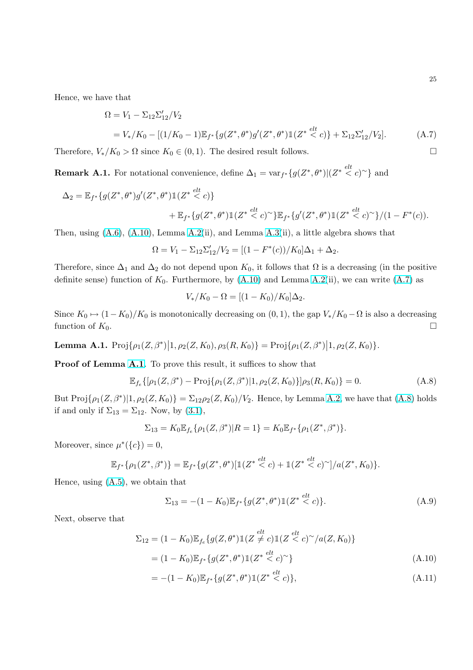<span id="page-26-0"></span>Hence, we have that

$$
\Omega = V_1 - \Sigma_{12} \Sigma'_{12} / V_2
$$
  
=  $V_*/K_0 - [(1/K_0 - 1)\mathbb{E}_{f^*} \{g(Z^*, \theta^*)g'(Z^*, \theta^*)\mathbb{1}(Z^* \stackrel{elt}{<} c)\} + \Sigma_{12} \Sigma'_{12} / V_2].$  (A.7)

Therefore,  $V_*/K_0 > \Omega$  since  $K_0 \in (0,1)$ . The desired result follows.

**Remark A.1.** For notational convenience, define  $\Delta_1 = \text{var}_{f^*}\{g(Z^*, \theta^*)|(Z^* \leq c)^{\sim}\}\$ and

$$
\Delta_2 = \mathbb{E}_{f^*}\{g(Z^*,\theta^*)g'(Z^*,\theta^*)\mathbb{1}(Z^* \stackrel{elt}{<} c)\} \n+ \mathbb{E}_{f^*}\{g(Z^*,\theta^*)\mathbb{1}(Z^* \stackrel{elt}{<} c)^{\sim}\}\mathbb{E}_{f^*}\{g'(Z^*,\theta^*)\mathbb{1}(Z^* \stackrel{elt}{<} c)^{\sim}\}/(1-F^*(c)).
$$

Then, using  $(A.6)$ ,  $(A.10)$ , Lemma  $A.2(ii)$  $A.2(ii)$ , and Lemma  $A.3(ii)$  $A.3(ii)$ , a little algebra shows that

$$
\Omega = V_1 - \Sigma_{12} \Sigma_{12}' / V_2 = [(1 - F^*(c)) / K_0] \Delta_1 + \Delta_2.
$$

Therefore, since  $\Delta_1$  and  $\Delta_2$  do not depend upon  $K_0$ , it follows that  $\Omega$  is a decreasing (in the positive definite sense) function of  $K_0$ . Furthermore, by  $(A.10)$  and Lemma [A.2\(](#page-27-0)ii), we can write  $(A.7)$  as

$$
V_*/K_0 - \Omega = [(1 - K_0)/K_0]\Delta_2.
$$

Since  $K_0 \mapsto (1-K_0)/K_0$  is monotonically decreasing on  $(0, 1)$ , the gap  $V_*/K_0 - \Omega$  is also a decreasing function of  $K_0$ .

Lemma A.1.  $\text{Proj}\{\rho_1(Z,\beta^*)\}$  $\vert 1, \rho_2(Z, K_0), \rho_3(R, K_0) \} = \text{Proj}\{\rho_1(Z, \beta^*)\}$  $\big| 1, \rho_2(Z, K_0) \big\}$ .

Proof of Lemma A.1. To prove this result, it suffices to show that

$$
\mathbb{E}_{f_e}\{[\rho_1(Z,\beta^*) - \text{Proj}\{\rho_1(Z,\beta^*) | 1, \rho_2(Z,K_0)\}] \rho_3(R,K_0)\} = 0.
$$
\n(A.8)

But  $\text{Proj}\{\rho_1(Z,\beta^*)|1,\rho_2(Z,K_0)\}=\sum_{12}\rho_2(Z,K_0)/V_2.$  Hence, by Lemma [A.2,](#page-27-0) we have that (A.8) holds if and only if  $\Sigma_{13} = \Sigma_{12}$ . Now, by [\(3.1\)](#page-9-0),

$$
\Sigma_{13}=K_0\mathbb{E}_{f_e}\{\rho_1(Z,\beta^*)|R=1\}=K_0\mathbb{E}_{f^*}\{\rho_1(Z^*,\beta^*)\}.
$$

Moreover, since  $\mu^*(\{c\}) = 0$ ,

$$
\mathbb{E}_{f^*}\{\rho_1(Z^*,\beta^*)\} = \mathbb{E}_{f^*}\{g(Z^*,\theta^*)[\mathbb{1}(Z^* \stackrel{elt}{<} c) + \mathbb{1}(Z^* \stackrel{elt}{<} c)^\sim]/a(Z^*,K_0)\}.
$$

Hence, using [\(A.5\)](#page-25-0), we obtain that

$$
\Sigma_{13} = -(1 - K_0) \mathbb{E}_{f^*} \{ g(Z^*, \theta^*) \mathbb{1}(Z^* \stackrel{elt}{<} c) \}. \tag{A.9}
$$

Next, observe that

$$
\Sigma_{12} = (1 - K_0) \mathbb{E}_{f_e} \{ g(Z, \theta^*) \mathbb{1}(Z \neq c) \mathbb{1}(Z < c)^\sim / a(Z, K_0) \}
$$
  
= (1 - K\_0) \mathbb{E}\_{f^\*} \{ g(Z^\*, \theta^\*) \mathbb{1}(Z^\* < c)^\sim \} (A.10)

$$
= -(1 - K_0) \mathbb{E}_{f^*} \{ g(Z^*, \theta^*) \mathbb{1}(Z^* \stackrel{elt}{<} c) \},\tag{A.11}
$$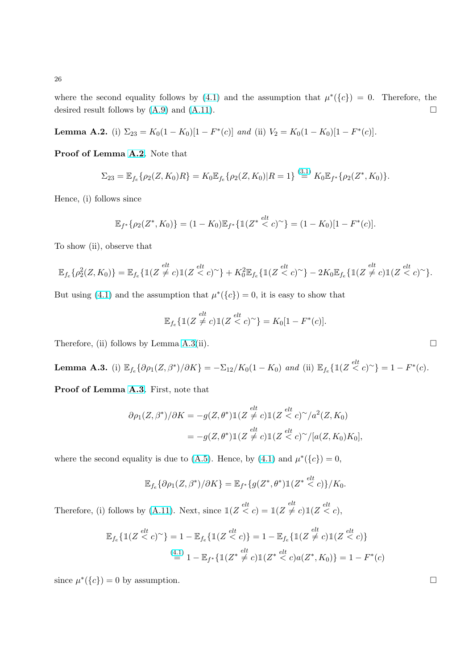where the second equality follows by [\(4.1\)](#page-10-0) and the assumption that  $\mu^*(\{c\}) = 0$ . Therefore, the desired result follows by  $(A.9)$  and  $(A.11)$ .

**Lemma A.2.** (i)  $\Sigma_{23} = K_0(1 - K_0)[1 - F^*(c)]$  and (ii)  $V_2 = K_0(1 - K_0)[1 - F^*(c)].$ 

Proof of Lemma A.2. Note that

$$
\Sigma_{23} = \mathbb{E}_{f_e} \{ \rho_2(Z, K_0)R \} = K_0 \mathbb{E}_{f_e} \{ \rho_2(Z, K_0) | R = 1 \} \stackrel{(3.1)}{=} K_0 \mathbb{E}_{f^*} \{ \rho_2(Z^*, K_0) \}.
$$

Hence, (i) follows since

$$
\mathbb{E}_{f^*}\{\rho_2(Z^*,K_0)\} = (1 - K_0)\mathbb{E}_{f^*}\{\mathbb{1}(Z^* \stackrel{elt}{<} c)^\sim\} = (1 - K_0)[1 - F^*(c)].
$$

To show (ii), observe that

$$
\mathbb{E}_{f_e}\{\rho_2^2(Z,K_0)\} = \mathbb{E}_{f_e}\{\mathbb{1}(Z \neq c)\mathbb{1}(Z < c)^{\sim}\} + K_0^2 \mathbb{E}_{f_e}\{\mathbb{1}(Z < c)^{\sim}\} - 2K_0 \mathbb{E}_{f_e}\{\mathbb{1}(Z \neq c)\mathbb{1}(Z < c)^{\sim}\}.
$$

But using [\(4.1\)](#page-10-0) and the assumption that  $\mu^*(\{c\}) = 0$ , it is easy to show that

$$
\mathbb{E}_{f_e}\{\mathbb{1}(Z \neq c)\mathbb{1}(Z < c)^{\sim}\} = K_0[1 - F^*(c)].
$$

Therefore, (ii) follows by Lemma  $A.3(ii)$ .

**Lemma A.3.** (i)  $\mathbb{E}_{f_e} \{ \partial \rho_1(Z, \beta^*) / \partial K \} = -\Sigma_{12} / K_0 (1 - K_0)$  and (ii)  $\mathbb{E}_{f_e} \{ \mathbb{1}(Z \stackrel{elt}{\leq} c) \sim \} = 1 - F^*(c)$ .

Proof of Lemma A.3. First, note that

$$
\partial \rho_1(Z, \beta^*)/\partial K = -g(Z, \theta^*) \mathbb{1}(Z \stackrel{elt}{\neq} c) \mathbb{1}(Z \stackrel{elt}{\leq} c)^\sim /a^2(Z, K_0)
$$
  
= 
$$
-g(Z, \theta^*) \mathbb{1}(Z \stackrel{elt}{\neq} c) \mathbb{1}(Z \stackrel{elt}{\leq} c)^\sim /[a(Z, K_0)K_0],
$$

where the second equality is due to [\(A.5\)](#page-25-0). Hence, by [\(4.1\)](#page-10-0) and  $\mu^*(\{c\}) = 0$ ,

$$
\mathbb{E}_{f_e}\{\partial \rho_1(Z,\beta^*)/\partial K\} = \mathbb{E}_{f^*}\{g(Z^*,\theta^*)\mathbbm{1}(Z^* \stackrel{elt}{<} c)\}/K_0.
$$

Therefore, (i) follows by [\(A.11\)](#page-26-0). Next, since  $\mathbb{1}(Z \stackrel{elt}{\lt} c) = \mathbb{1}(Z \not\stackrel{elt}{\neq} c)\mathbb{1}(Z \stackrel{elt}{\lt} c)$ ,

$$
\mathbb{E}_{f_e} \{ \mathbb{1}(Z \stackrel{elt}{<} c)^{\sim} \} = 1 - \mathbb{E}_{f_e} \{ \mathbb{1}(Z \stackrel{elt}{<} c) \} = 1 - \mathbb{E}_{f_e} \{ \mathbb{1}(Z \stackrel{elt}{\neq} c) \mathbb{1}(Z \stackrel{elt}{<} c) \}
$$
\n
$$
\stackrel{(4.1)}{=} 1 - \mathbb{E}_{f^*} \{ \mathbb{1}(Z^* \stackrel{elt}{\neq} c) \mathbb{1}(Z^* \stackrel{elt}{<} c) a(Z^*, K_0) \} = 1 - F^*(c)
$$

since  $\mu^*(\{c\}) = 0$  by assumption.

<span id="page-27-0"></span>26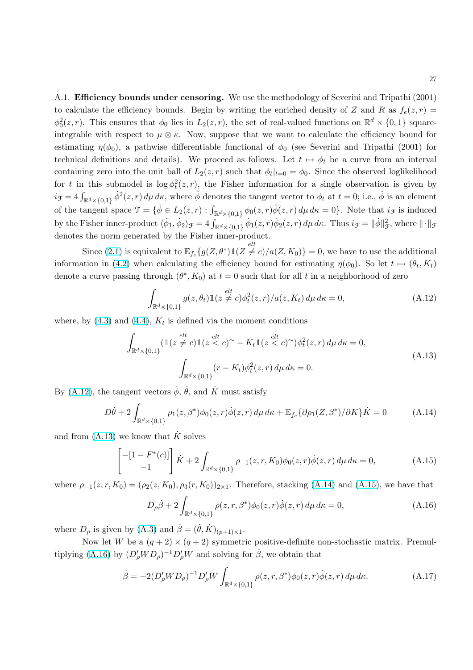<span id="page-28-0"></span>A.1. Efficiency bounds under censoring. We use the methodology of Severini and Tripathi (2001) to calculate the efficiency bounds. Begin by writing the enriched density of Z and R as  $f_e(z, r)$  =  $\phi_0^2(z,r)$ . This ensures that  $\phi_0$  lies in  $L_2(z,r)$ , the set of real-valued functions on  $\mathbb{R}^d \times \{0,1\}$  squareintegrable with respect to  $\mu \otimes \kappa$ . Now, suppose that we want to calculate the efficiency bound for estimating  $\eta(\phi_0)$ , a pathwise differentiable functional of  $\phi_0$  (see Severini and Tripathi (2001) for technical definitions and details). We proceed as follows. Let  $t \mapsto \phi_t$  be a curve from an interval containing zero into the unit ball of  $L_2(z,r)$  such that  $\phi_t|_{t=0} = \phi_0$ . Since the observed loglikelihood for t in this submodel is  $\log \phi_t^2(z,r)$ , the Fisher information for a single observation is given by  $i_{\mathcal{F}} = 4 \int_{\mathbb{R}^d \times \{0,1\}} \dot{\phi}^2(z,r) d\mu \, d\kappa$ , where  $\dot{\phi}$  denotes the tangent vector to  $\phi_t$  at  $t = 0$ ; i.e.,  $\dot{\phi}$  is an element of the tangent space  $\mathcal{T} = {\phi \in L_2(z,r) : \int_{\mathbb{R}^d \times \{0,1\}} \phi_0(z,r) \dot{\phi}(z,r) d\mu} d\kappa = 0}.$  Note that  $i_{\mathcal{F}}$  is induced by the Fisher inner-product  $\langle \dot{\phi}_1, \dot{\phi}_2 \rangle_{\mathcal{F}} = 4 \int_{\mathbb{R}^d \times \{0,1\}} \dot{\phi}_1(z, r) \dot{\phi}_2(z, r) d\mu \, d\kappa$ . Thus  $i_{\mathcal{F}} = ||\dot{\phi}||_{\mathcal{F}}^2$ , where  $|| \cdot ||_{\mathcal{F}}$ denotes the norm generated by the Fisher inner-product.

Since [\(2.1\)](#page-5-0) is equivalent to  $\mathbb{E}_{f_e} \{ g(Z, \theta^*) \mathbb{1}(Z \neq c) / a(Z, K_0) \} = 0$ , we have to use the additional information in [\(4.2\)](#page-10-0) when calculating the efficiency bound for estimating  $\eta(\phi_0)$ . So let  $t \mapsto (\theta_t, K_t)$ denote a curve passing through  $(\theta^*, K_0)$  at  $t = 0$  such that for all t in a neighborhood of zero

$$
\int_{\mathbb{R}^d \times \{0,1\}} g(z,\theta_t) \mathbb{1}(z \neq c) \phi_t^2(z,r) / a(z,K_t) d\mu d\kappa = 0,
$$
\n(A.12)

where, by  $(4.3)$  and  $(4.4)$ ,  $K_t$  is defined via the moment conditions

$$
\int_{\mathbb{R}^d \times \{0,1\}} (\mathbb{1}(z \neq c) \mathbb{1}(z < c)^\sim - K_t \mathbb{1}(z < c)^\sim) \phi_t^2(z, r) d\mu d\kappa = 0,
$$
\n(A.13)\n
$$
\int_{\mathbb{R}^d \times \{0,1\}} (r - K_t) \phi_t^2(z, r) d\mu d\kappa = 0.
$$

By (A.12), the tangent vectors  $\dot{\phi}$ ,  $\dot{\theta}$ , and  $\dot{K}$  must satisfy

$$
D\dot{\theta} + 2\int_{\mathbb{R}^d \times \{0,1\}} \rho_1(z,\beta^*)\phi_0(z,r)\dot{\phi}(z,r) d\mu d\kappa + \mathbb{E}_{f_e} \{\partial \rho_1(Z,\beta^*)/\partial K\} \dot{K} = 0 \tag{A.14}
$$

and from  $(A.13)$  we know that  $\dot{K}$  solves

$$
\begin{bmatrix} -[1 - F^*(c)] \\ -1 \end{bmatrix} \dot{K} + 2 \int_{\mathbb{R}^d \times \{0, 1\}} \rho_{-1}(z, r, K_0) \phi_0(z, r) \dot{\phi}(z, r) d\mu d\kappa = 0, \tag{A.15}
$$

where  $\rho_{-1}(z, r, K_0) = (\rho_2(z, K_0), \rho_3(r, K_0))_{2 \times 1}$ . Therefore, stacking (A.14) and (A.15), we have that

$$
D_{\rho}\dot{\beta} + 2\int_{\mathbb{R}^d \times \{0,1\}} \rho(z,r,\beta^*)\phi_0(z,r)\dot{\phi}(z,r) \,d\mu \,d\kappa = 0, \tag{A.16}
$$

where  $D_{\rho}$  is given by [\(A.3\)](#page-25-0) and  $\dot{\beta} = (\dot{\theta}, \dot{K})_{(p+1)\times 1}$ .

Now let W be a  $(q+2) \times (q+2)$  symmetric positive-definite non-stochastic matrix. Premultiplying (A.16) by  $(D'_{\rho}WD_{\rho})^{-1}D'_{\rho}W$  and solving for  $\dot{\beta}$ , we obtain that

$$
\dot{\beta} = -2(D'_{\rho}WD_{\rho})^{-1}D'_{\rho}W \int_{\mathbb{R}^d \times \{0,1\}} \rho(z,r,\beta^*)\phi_0(z,r)\dot{\phi}(z,r) d\mu d\kappa.
$$
 (A.17)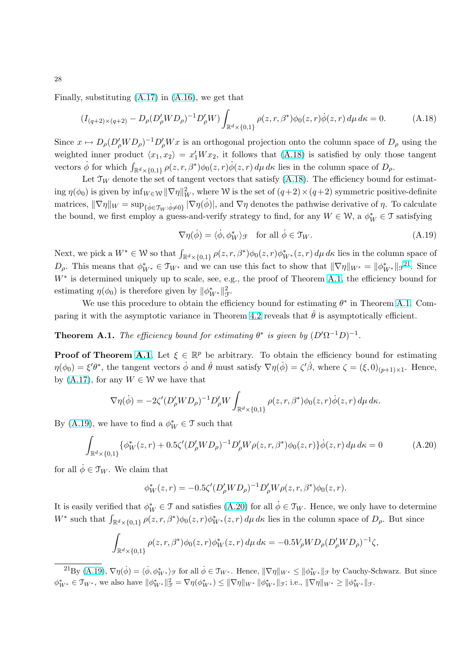<span id="page-29-0"></span>Finally, substituting  $(A.17)$  in  $(A.16)$ , we get that

$$
(I_{(q+2)\times(q+2)} - D_{\rho}(D'_{\rho}WD_{\rho})^{-1}D'_{\rho}W)\int_{\mathbb{R}^d\times\{0,1\}}\rho(z,r,\beta^*)\phi_0(z,r)\dot{\phi}(z,r)\,d\mu\,d\kappa = 0. \tag{A.18}
$$

Since  $x \mapsto D_{\rho}(D'_{\rho}WD_{\rho})^{-1}D'_{\rho}Wx$  is an orthogonal projection onto the column space of  $D_{\rho}$  using the weighted inner product  $\langle x_1, x_2 \rangle = x_1' W x_2$ , it follows that (A.18) is satisfied by only those tangent vectors  $\dot{\phi}$  for which  $\int_{\mathbb{R}^d \times \{0,1\}} \rho(z,r,\beta^*) \phi_0(z,r) \dot{\phi}(z,r) d\mu d\kappa$  lies in the column space of  $D_\rho$ .

Let  $\mathcal{T}_W$  denote the set of tangent vectors that satisfy (A.18). The efficiency bound for estimat- $\lim_{\phi \to 0} \eta(\phi_0)$  is given by  $\inf_{W \in \mathcal{W}} \|\nabla \eta\|_W^2$ , where W is the set of  $(q+2) \times (q+2)$  symmetric positive-definite matrices,  $\|\nabla \eta\|_{W} = \sup_{\{\dot{\phi} \in \mathfrak{T}_W : \dot{\phi} \neq 0\}} |\nabla \eta(\dot{\phi})|$ , and  $\nabla \eta$  denotes the pathwise derivative of  $\eta$ . To calculate the bound, we first employ a guess-and-verify strategy to find, for any  $W \in \mathcal{W}$ , a  $\phi_W^* \in \mathcal{T}$  satisfying

$$
\nabla \eta(\dot{\phi}) = \langle \dot{\phi}, \phi_W^* \rangle_{\mathcal{F}} \quad \text{for all } \dot{\phi} \in \mathcal{T}_W. \tag{A.19}
$$

Next, we pick a  $W^* \in \mathcal{W}$  so that  $\int_{\mathbb{R}^d \times \{0,1\}} \rho(z,r,\beta^*) \phi_0(z,r) \phi_{W^*}^*(z,r) d\mu d\kappa$  lies in the column space of  $D_{\rho}$ . This means that  $\phi_{W^*}^* \in \mathcal{T}_{W^*}$  and we can use this fact to show that  $\|\nabla \eta\|_{W^*} = \|\phi_{W^*}^*\|_{\mathcal{F}}^{21}$ . Since W<sup>\*</sup> is determined uniquely up to scale, see, e.g., the proof of Theorem A.1, the efficiency bound for estimating  $\eta(\phi_0)$  is therefore given by  $\|\phi_{W^*}^*\|_{\mathcal{F}}^2$ .

We use this procedure to obtain the efficiency bound for estimating  $\theta^*$  in Theorem A.1. Com-paring it with the asymptotic variance in Theorem [4.2](#page-12-0) reveals that  $\hat{\theta}$  is asymptotically efficient.

**Theorem A.1.** The efficiency bound for estimating  $\theta^*$  is given by  $(D'\Omega^{-1}D)^{-1}$ .

**Proof of Theorem A.1.** Let  $\xi \in \mathbb{R}^p$  be arbitrary. To obtain the efficiency bound for estimating  $\eta(\phi_0) = \xi'\theta^*$ , the tangent vectors  $\dot{\phi}$  and  $\dot{\theta}$  must satisfy  $\nabla \eta(\dot{\phi}) = \zeta'\dot{\beta}$ , where  $\zeta = (\xi, 0)_{(p+1)\times 1}$ . Hence, by [\(A.17\)](#page-28-0), for any  $W \in \mathcal{W}$  we have that

$$
\nabla \eta(\dot{\phi}) = -2\zeta' (D'_{\rho}WD_{\rho})^{-1}D'_{\rho}W \int_{\mathbb{R}^d \times \{0,1\}} \rho(z,r,\beta^*)\phi_0(z,r)\dot{\phi}(z,r) d\mu d\kappa.
$$

By (A.19), we have to find a  $\phi_W^* \in \mathcal{T}$  such that

$$
\int_{\mathbb{R}^d \times \{0,1\}} {\{\phi_W^*(z,r) + 0.5\zeta'(D_\rho'WD_\rho)^{-1}D_\rho'W\rho(z,r,\beta^*)\phi_0(z,r)\}\dot{\phi}(z,r) d\mu d\kappa = 0}
$$
 (A.20)

for all  $\dot{\phi} \in \mathcal{T}_W$ . We claim that

$$
\phi_W^*(z,r) = -0.5\zeta'(D'_{\rho}WD_{\rho})^{-1}D'_{\rho}W\rho(z,r,\beta^*)\phi_0(z,r).
$$

It is easily verified that  $\phi_W^* \in \mathcal{T}$  and satisfies (A.20) for all  $\dot{\phi} \in \mathcal{T}_W$ . Hence, we only have to determine W<sup>\*</sup> such that  $\int_{\mathbb{R}^d \times \{0,1\}} \rho(z,r,\beta^*) \phi_0(z,r) \phi_{W^*}^*(z,r) d\mu \, d\kappa$  lies in the column space of  $D_\rho$ . But since

$$
\int_{\mathbb{R}^d \times \{0,1\}} \rho(z,r,\beta^*) \phi_0(z,r) \phi_W^*(z,r) \, d\mu \, d\kappa = -0.5 V_\rho W D_\rho (D_\rho' W D_\rho)^{-1} \zeta,
$$

 $^{21}$ By (A.19),  $\nabla \eta(\dot{\phi}) = \langle \dot{\phi}, \phi^*_{W^*} \rangle_{\mathcal{F}}$  for all  $\dot{\phi} \in \mathcal{T}_{W^*}$ . Hence,  $\|\nabla \eta\|_{W^*} \le \|\phi^*_{W^*}\|_{\mathcal{F}}$  by Cauchy-Schwarz. But since  $\phi_{W^*}^* \in \mathfrak{T}_{W^*}$ , we also have  $\|\phi_{W^*}^*\|_{\mathcal{F}}^2 = \nabla \eta(\phi_{W^*}^*) \leq \|\nabla \eta\|_{W^*} \|\phi_{W^*}^*\|_{\mathcal{F}}$ ; i.e.,  $\|\nabla \eta\|_{W^*} \geq \|\phi_{W^*}^*\|_{\mathcal{F}}$ .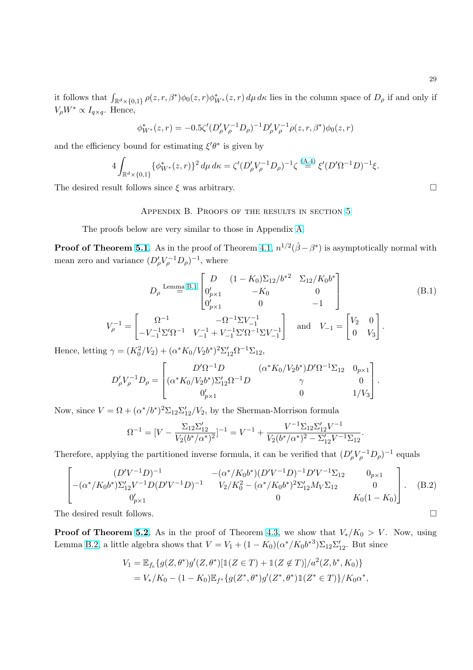<span id="page-30-0"></span>it follows that  $\int_{\mathbb{R}^d \times \{0,1\}} \rho(z,r,\beta^*) \phi_0(z,r) \phi_{W^*}^*(z,r) d\mu \, d\kappa$  lies in the column space of  $D_\rho$  if and only if  $V_{\rho}W^* \propto I_{q\times q}$ . Hence,

$$
\phi_{W^*}^*(z,r) = -0.5\zeta'(D'_{\rho}V_{\rho}^{-1}D_{\rho})^{-1}D'_{\rho}V_{\rho}^{-1}\rho(z,r,\beta^*)\phi_0(z,r)
$$

and the efficiency bound for estimating  $\xi' \theta^*$  is given by

$$
4\int_{\mathbb{R}^d \times \{0,1\}} {\{\phi_{W^*}^*(z,r)\}}^2 d\mu d\kappa = \zeta'(D'_{\rho}V_{\rho}^{-1}D_{\rho})^{-1} \zeta^{(\mathbf{A},\mathbf{A})} \xi'(D'\Omega^{-1}D)^{-1} \xi.
$$

The desired result follows since  $\xi$  was arbitrary.  $\Box$ 

#### Appendix B. Proofs of the results in section [5](#page-15-0)

The proofs below are very similar to those in Appendix [A.](#page-24-0)

**Proof of Theorem [5.1](#page-16-0)**. As in the proof of Theorem [4.1,](#page-11-0)  $n^{1/2}(\hat{\beta} - \beta^*)$  is asymptotically normal with mean zero and variance  $(D'_{\rho}V_{\rho}^{-1}D_{\rho})^{-1}$ , where

$$
D_{\rho} \stackrel{\text{Lemma B.1}}{=} \begin{bmatrix} D & (1 - K_0) \Sigma_{12} / b^{*2} & \Sigma_{12} / K_0 b^* \\ 0'_{p \times 1} & -K_0 & 0 \\ 0'_{p \times 1} & 0 & -1 \end{bmatrix}
$$
(B.1)  

$$
V_{\rho}^{-1} = \begin{bmatrix} \Omega^{-1} & -\Omega^{-1} \Sigma V_{-1}^{-1} \\ -V_{-1}^{-1} \Sigma' \Omega^{-1} & V_{-1}^{-1} + V_{-1}^{-1} \Sigma' \Omega^{-1} \Sigma V_{-1}^{-1} \end{bmatrix} \text{ and } V_{-1} = \begin{bmatrix} V_2 & 0 \\ 0 & V_3 \end{bmatrix}.
$$

Hence, letting  $\gamma = (K_0^2/V_2) + (\alpha^* K_0/V_2 b^*)^2 \Sigma_{12}' \Omega^{-1} \Sigma_{12}$ ,  $\overline{a}$ 

$$
D'_{\rho}V_{\rho}^{-1}D_{\rho} = \begin{bmatrix} D'\Omega^{-1}D & (\alpha^*K_0/V_2b^*)D'\Omega^{-1}\Sigma_{12} & 0_{p\times 1} \\ (\alpha^*K_0/V_2b^*)\Sigma_{12}'\Omega^{-1}D & \gamma & 0 \\ 0'_{p\times 1} & 0 & 1/V_3 \end{bmatrix}.
$$

Now, since  $V = \Omega + (\alpha^*/b^*)^2 \Sigma_{12} \Sigma_{12}'/V_2$ , by the Sherman-Morrison formula

$$
\Omega^{-1} = [V - \frac{\Sigma_{12} \Sigma_{12}'}{V_2 (b^*/\alpha^*)^2}]^{-1} = V^{-1} + \frac{V^{-1} \Sigma_{12} \Sigma_{12}' V^{-1}}{V_2 (b^*/\alpha^*)^2 - \Sigma_{12}' V^{-1} \Sigma_{12}}
$$

Therefore, applying the partitioned inverse formula, it can be verified that  $(D'_{\rho}V_{\rho}^{-1}D_{\rho})^{-1}$  equals

$$
\begin{bmatrix}\n(D'V^{-1}D)^{-1} & -(\alpha^*/K_0b^*)(D'V^{-1}D)^{-1}D'V^{-1}\Sigma_{12} & 0_{p\times 1} \\
-(\alpha^*/K_0b^*)\Sigma_{12}'V^{-1}D(D'V^{-1}D)^{-1} & V_2/K_0^2 - (\alpha^*/K_0b^*)^2\Sigma_{12}'M_V\Sigma_{12} & 0 \\
0 & 0 & K_0(1-K_0)\n\end{bmatrix}.
$$
\n(B.2)

The desired result follows.  $\Box$ 

**Proof of Theorem [5.2](#page-17-0).** As in the proof of Theorem [4.3,](#page-13-0) we show that  $V_*/K_0 > V$ . Now, using Lemma [B.2,](#page-31-0) a little algebra shows that  $V = V_1 + (1 - K_0)(\alpha^* / K_0 b^{*3}) \Sigma_{12} \Sigma'_{12}$ . But since

$$
V_1 = \mathbb{E}_{f_e} \{ g(Z, \theta^*) g'(Z, \theta^*) [\mathbb{1}(Z \in T) + \mathbb{1}(Z \notin T)] / a^2(Z, b^*, K_0) \}
$$
  
=  $V_*/K_0 - (1 - K_0) \mathbb{E}_{f^*} \{ g(Z^*, \theta^*) g'(Z^*, \theta^*) \mathbb{1}(Z^* \in T) \} / K_0 \alpha^*,$ 

.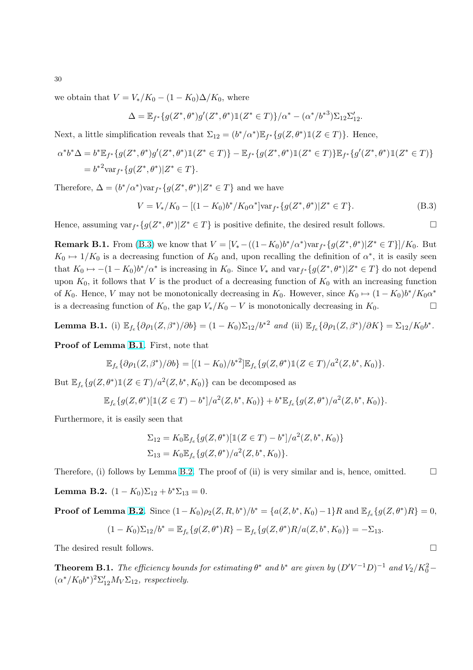we obtain that  $V = V_*/K_0 - (1 - K_0)\Delta/K_0$ , where

$$
\Delta = \mathbb{E}_{f^*}\{g(Z^*, \theta^*)g'(Z^*, \theta^*)\mathbb{1}(Z^* \in T)\}/\alpha^* - (\alpha^*/{b^*}^3)\Sigma_{12}\Sigma'_{12}.
$$

Next, a little simplification reveals that  $\Sigma_{12} = (b^*/\alpha^*) \mathbb{E}_{f^*}{g(Z, \theta^*)} \mathbb{1}(Z \in T)$ . Hence,

$$
\alpha^* b^* \Delta = b^* \mathbb{E}_{f^*} \{ g(Z^*, \theta^*) g'(Z^*, \theta^*) \mathbb{1}(Z^* \in T) \} - \mathbb{E}_{f^*} \{ g(Z^*, \theta^*) \mathbb{1}(Z^* \in T) \} \mathbb{E}_{f^*} \{ g'(Z^*, \theta^*) \mathbb{1}(Z^* \in T) \}
$$
  
= 
$$
b^{*2} \text{var}_{f^*} \{ g(Z^*, \theta^*) | Z^* \in T \}.
$$

Therefore,  $\Delta = (b^*/\alpha^*) \text{var}_{f^*} \{ g(Z^*, \theta^*) | Z^* \in T \}$  and we have

$$
V = V_*/K_0 - [(1 - K_0)b^*/K_0\alpha^*]\text{var}_{f^*}\{g(Z^*,\theta^*)|Z^* \in T\}.
$$
\n(B.3)

Hence, assuming  $var_{f^*}\{g(Z^*,\theta^*)|Z^*\in T\}$  is positive definite, the desired result follows.

**Remark B.1.** From (B.3) we know that  $V = [V_* - ((1 - K_0)b^*/\alpha^*) \text{var}_{f^*} \{g(Z^*, \theta^*) | Z^* \in T\}]/K_0$ . But  $K_0 \mapsto 1/K_0$  is a decreasing function of  $K_0$  and, upon recalling the definition of  $\alpha^*$ , it is easily seen that  $K_0 \mapsto -(1 - K_0)b^*/\alpha^*$  is increasing in  $K_0$ . Since  $V_*$  and  $var_{f^*}{g(Z^*,\theta^*)} | Z^* \in T$  do not depend upon  $K_0$ , it follows that V is the product of a decreasing function of  $K_0$  with an increasing function of  $K_0$ . Hence, V may not be monotonically decreasing in  $K_0$ . However, since  $K_0 \mapsto (1 - K_0)b^* / K_0 \alpha^*$ is a decreasing function of  $K_0$ , the gap  $V_*/K_0 - V$  is monotonically decreasing in  $K_0$ .

**Lemma B.1.** (i) 
$$
\mathbb{E}_{f_e} \{ \partial \rho_1(Z, \beta^*) / \partial b \} = (1 - K_0) \Sigma_{12} / b^{*2}
$$
 and (ii)  $\mathbb{E}_{f_e} \{ \partial \rho_1(Z, \beta^*) / \partial K \} = \Sigma_{12} / K_0 b^*.$ 

Proof of Lemma B.1. First, note that

$$
\mathbb{E}_{f_e} \{ \partial \rho_1(Z, \beta^*) / \partial b \} = [(1 - K_0) / b^{*2}] \mathbb{E}_{f_e} \{ g(Z, \theta^*) \mathbb{1}(Z \in T) / a^2(Z, b^*, K_0) \}.
$$

But  $\mathbb{E}_{f_e} \{ g(Z, \theta^*) \mathbb{1}(Z \in T) / a^2(Z, b^*, K_0) \}$  can be decomposed as

$$
\mathbb{E}_{f_e}\{g(Z,\theta^*)[1(Z \in T) - b^*]/a^2(Z,b^*,K_0)\} + b^* \mathbb{E}_{f_e}\{g(Z,\theta^*)/a^2(Z,b^*,K_0)\}.
$$

Furthermore, it is easily seen that

$$
\Sigma_{12} = K_0 \mathbb{E}_{f_e} \{ g(Z, \theta^*) [\mathbb{1}(Z \in T) - b^*]/a^2(Z, b^*, K_0) \}
$$
  

$$
\Sigma_{13} = K_0 \mathbb{E}_{f_e} \{ g(Z, \theta^*) / a^2(Z, b^*, K_0) \}.
$$

Therefore, (i) follows by Lemma B.2. The proof of (ii) is very similar and is, hence, omitted.  $\Box$ 

Lemma B.2.  $(1 - K_0)\Sigma_{12} + b^* \Sigma_{13} = 0$ .

**Proof of Lemma B.2**. Since  $(1 - K_0)\rho_2(Z, R, b^*)/b^* = \{a(Z, b^*, K_0) - 1\}R$  and  $\mathbb{E}_{f_e}\{g(Z, \theta^*)R\} = 0$ ,

$$
(1 - K_0) \Sigma_{12} / b^* = \mathbb{E}_{f_e} \{ g(Z, \theta^*) R \} - \mathbb{E}_{f_e} \{ g(Z, \theta^*) R / a(Z, b^*, K_0) \} = -\Sigma_{13}.
$$

The desired result follows.  $\Box$ 

**Theorem B.1.** The efficiency bounds for estimating  $\theta^*$  and  $b^*$  are given by  $(D'V^{-1}D)^{-1}$  and  $V_2/K_0^2$  –  $(\alpha^*/K_0b^*)^2\Sigma'_{12}M_V\Sigma_{12}$ , respectively.

<span id="page-31-0"></span>30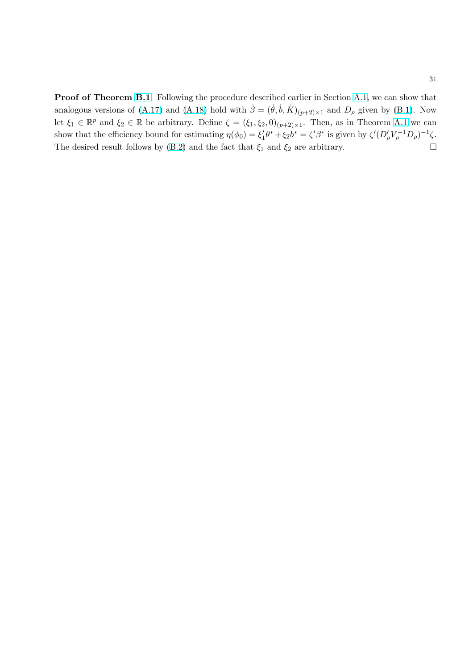Proof of Theorem [B.1](#page-31-0). Following the procedure described earlier in Section [A.1,](#page-28-0) we can show that analogous versions of [\(A.17\)](#page-28-0) and [\(A.18\)](#page-29-0) hold with  $\dot{\beta} = (\dot{\theta}, \dot{b}, \dot{K})_{(p+2) \times 1}$  and  $D_{\rho}$  given by [\(B.1\)](#page-30-0). Now let  $\xi_1 \in \mathbb{R}^p$  and  $\xi_2 \in \mathbb{R}$  be arbitrary. Define  $\zeta = (\xi_1, \xi_2, 0)_{(p+2)\times 1}$ . Then, as in Theorem [A.1](#page-29-0) we can show that the efficiency bound for estimating  $\eta(\phi_0) = \xi_1' \theta^* + \xi_2 b^* = \zeta' \beta^*$  is given by  $\zeta' (D'_{\rho} V_{\rho}^{-1} D_{\rho})^{-1} \zeta$ . The desired result follows by [\(B.2\)](#page-30-0) and the fact that  $\xi_1$  and  $\xi_2$  are arbitrary.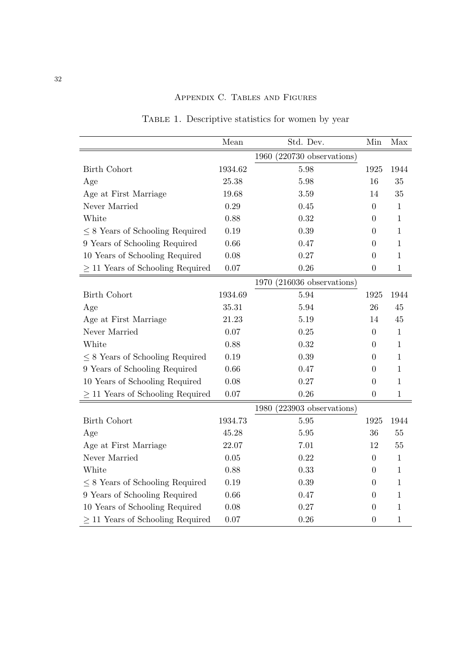<span id="page-33-0"></span>

|                                       | Mean     | Std. Dev.                       | Min              | Max          |
|---------------------------------------|----------|---------------------------------|------------------|--------------|
|                                       |          | $(220730$ observations)<br>1960 |                  |              |
| <b>Birth Cohort</b>                   | 1934.62  | 5.98                            | 1925             | 1944         |
| Age                                   | 25.38    | 5.98                            | 16               | 35           |
| Age at First Marriage                 | 19.68    | 3.59                            | 14               | 35           |
| Never Married                         | 0.29     | 0.45                            | 0                | 1            |
| White                                 | 0.88     | 0.32                            | $\overline{0}$   | $\mathbf{1}$ |
| $\leq$ 8 Years of Schooling Required  | 0.19     | 0.39                            | 0                | $\mathbf{1}$ |
| 9 Years of Schooling Required         | 0.66     | 0.47                            | 0                | 1            |
| 10 Years of Schooling Required        | 0.08     | 0.27                            | 0                | $\mathbf{1}$ |
| $\geq$ 11 Years of Schooling Required | $0.07\,$ | 0.26                            | $\boldsymbol{0}$ | $\,1$        |
|                                       |          | $(216036$ observations)<br>1970 |                  |              |
| <b>Birth Cohort</b>                   | 1934.69  | 5.94                            | 1925             | 1944         |
| Age                                   | 35.31    | 5.94                            | 26               | 45           |
| Age at First Marriage                 | 21.23    | 5.19                            | 14               | 45           |
| Never Married                         | 0.07     | 0.25                            | $\overline{0}$   | $\mathbf{1}$ |
| White                                 | 0.88     | 0.32                            | 0                | 1            |
| $\leq$ 8 Years of Schooling Required  | 0.19     | 0.39                            | $\Omega$         | $\mathbf{1}$ |
| 9 Years of Schooling Required         | 0.66     | 0.47                            | 0                | 1            |
| 10 Years of Schooling Required        | 0.08     | 0.27                            | $\overline{0}$   | $\mathbf{1}$ |
| 11 Years of Schooling Required        | 0.07     | 0.26                            | $\boldsymbol{0}$ | $\,1$        |
|                                       |          | $1980$ $(223903$ observations)  |                  |              |
| <b>Birth Cohort</b>                   | 1934.73  | 5.95                            | 1925             | 1944         |
| Age                                   | 45.28    | 5.95                            | 36               | 55           |
| Age at First Marriage                 | 22.07    | 7.01                            | 12               | 55           |
| Never Married                         | 0.05     | 0.22                            | $\overline{0}$   | 1            |
| White                                 | 0.88     | 0.33                            | $\overline{0}$   | 1            |
| $\leq$ 8 Years of Schooling Required  | 0.19     | 0.39                            | 0                | $\mathbf{1}$ |
| 9 Years of Schooling Required         | 0.66     | 0.47                            | 0                | 1            |
| 10 Years of Schooling Required        | 0.08     | 0.27                            | $\overline{0}$   | 1            |
| $\geq$ 11 Years of Schooling Required | 0.07     | 0.26                            | 0                | $\mathbf 1$  |

TABLE 1. Descriptive statistics for women by year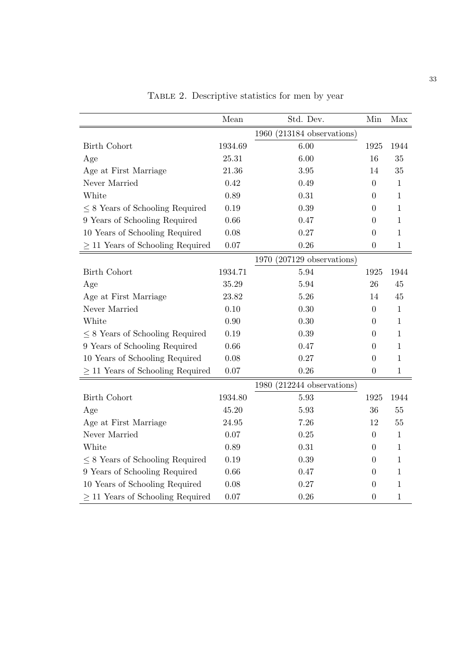<span id="page-34-0"></span>

|                                       | Mean    | Std. Dev.                       | Min              | Max          |
|---------------------------------------|---------|---------------------------------|------------------|--------------|
|                                       |         | $(213184$ observations)<br>1960 |                  |              |
| <b>Birth Cohort</b>                   | 1934.69 | 6.00                            | 1925             | 1944         |
| Age                                   | 25.31   | 6.00                            | 16               | 35           |
| Age at First Marriage                 | 21.36   | 3.95                            | 14               | 35           |
| Never Married                         | 0.42    | 0.49                            | $\boldsymbol{0}$ | $\mathbf{1}$ |
| White                                 | 0.89    | 0.31                            | $\overline{0}$   | $\mathbf{1}$ |
| $\leq$ 8 Years of Schooling Required  | 0.19    | 0.39                            | $\overline{0}$   | $\mathbf{1}$ |
| 9 Years of Schooling Required         | 0.66    | 0.47                            | 0                | 1            |
| 10 Years of Schooling Required        | 0.08    | 0.27                            | 0                | $\mathbf{1}$ |
| $\geq$ 11 Years of Schooling Required | 0.07    | 0.26                            | $\overline{0}$   | $\,1$        |
|                                       |         | $(207129$ observations)<br>1970 |                  |              |
| <b>Birth Cohort</b>                   | 1934.71 | 5.94                            | 1925             | 1944         |
| Age                                   | 35.29   | 5.94                            | 26               | 45           |
| Age at First Marriage                 | 23.82   | 5.26                            | 14               | 45           |
| Never Married                         | 0.10    | 0.30                            | $\overline{0}$   | $\mathbf{1}$ |
| White                                 | 0.90    | 0.30                            | 0                | $\mathbf{1}$ |
| $\leq$ 8 Years of Schooling Required  | 0.19    | 0.39                            | $\overline{0}$   | $\mathbf{1}$ |
| 9 Years of Schooling Required         | 0.66    | 0.47                            | 0                | $\mathbf{1}$ |
| 10 Years of Schooling Required        | 0.08    | 0.27                            | 0                | $\mathbf{1}$ |
| $\geq$ 11 Years of Schooling Required | 0.07    | 0.26                            | $\overline{0}$   | $1\,$        |
|                                       |         | 1980 (212244 observations)      |                  |              |
| <b>Birth Cohort</b>                   | 1934.80 | 5.93                            | 1925             | 1944         |
| Age                                   | 45.20   | 5.93                            | 36               | 55           |
| Age at First Marriage                 | 24.95   | 7.26                            | 12               | $55\,$       |
| Never Married                         | 0.07    | 0.25                            | $\boldsymbol{0}$ | $\mathbf{1}$ |
| White                                 | 0.89    | 0.31                            | $\theta$         | $\mathbf{1}$ |
| $\leq$ 8 Years of Schooling Required  | 0.19    | 0.39                            | 0                | $\mathbf{1}$ |
| 9 Years of Schooling Required         | 0.66    | 0.47                            | 0                | $1\,$        |
| 10 Years of Schooling Required        | 0.08    | 0.27                            | 0                | $\mathbf{1}$ |
| $\geq$ 11 Years of Schooling Required | 0.07    | 0.26                            | $\overline{0}$   | $\,1$        |

Table 2. Descriptive statistics for men by year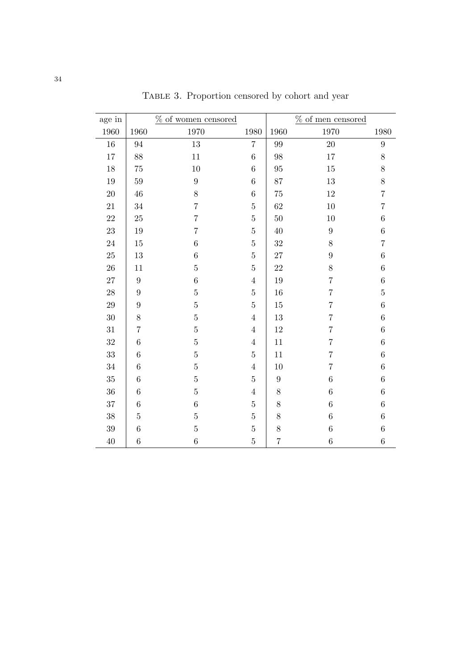<span id="page-35-0"></span>

| age in |                  | % of women censored |                  |                  | $\%$ of men censored |                  |
|--------|------------------|---------------------|------------------|------------------|----------------------|------------------|
| 1960   | 1960             | 1970                | 1980             | 1960             | 1970                 | 1980             |
| $16\,$ | 94               | 13                  | $\overline{7}$   | 99               | 20                   | $\boldsymbol{9}$ |
| $17\,$ | 88               | 11                  | $\overline{6}$   | 98               | 17                   | 8                |
| $18\,$ | $75\,$           | $10\,$              | $\boldsymbol{6}$ | 95               | 15                   | 8                |
| $19\,$ | 59               | $\overline{9}$      | $\overline{6}$   | 87               | 13                   | 8                |
| $20\,$ | 46               | 8                   | $\overline{6}$   | 75               | 12                   | $\overline{7}$   |
| $21\,$ | 34               | $\overline{7}$      | $\overline{5}$   | 62               | 10                   | 7                |
| $22\,$ | 25               | $\overline{7}$      | $\overline{5}$   | 50               | 10                   | $\,6$            |
| $23\,$ | 19               | $\overline{7}$      | $\overline{5}$   | 40               | $\boldsymbol{9}$     | $\,6$            |
| $24\,$ | 15               | 6                   | $\overline{5}$   | 32               | $8\,$                | 7                |
| $25\,$ | 13               | $\overline{6}$      | $\overline{5}$   | 27               | 9                    | $\sqrt{6}$       |
| $26\,$ | 11               | $\overline{5}$      | $\overline{5}$   | $22\,$           | 8                    | $\!6\,$          |
| $27\,$ | $\boldsymbol{9}$ | $\boldsymbol{6}$    | $\overline{4}$   | 19               | $\overline{7}$       | $\,6$            |
| 28     | $\boldsymbol{9}$ | $\overline{5}$      | $\bf 5$          | 16               | $\overline{7}$       | $\overline{5}$   |
| $\,29$ | $\boldsymbol{9}$ | $\overline{5}$      | $\bf 5$          | 15               | $\overline{7}$       | $\!6\,$          |
| $30\,$ | $8\,$            | $\overline{5}$      | $\overline{4}$   | 13               | $\overline{7}$       | $\,6$            |
| $31\,$ | $\overline{7}$   | $\overline{5}$      | $\overline{4}$   | 12               | $\overline{7}$       | $\!6\,$          |
| $32\,$ | $\,6\,$          | $\overline{5}$      | $\sqrt{4}$       | 11               | $\overline{7}$       | $\,6$            |
| 33     | $\,6\,$          | $\overline{5}$      | $\bf 5$          | 11               | $\overline{7}$       | $\,6$            |
| $34\,$ | $\,6\,$          | $\overline{5}$      | $\overline{4}$   | 10               | $\overline{7}$       | $\,6$            |
| 35     | $\,6\,$          | $\overline{5}$      | $\overline{5}$   | $\boldsymbol{9}$ | $\,6$                | $\!6\,$          |
| 36     | $\,6\,$          | $\overline{5}$      | $\sqrt{4}$       | $8\,$            | $\overline{6}$       | $\,6$            |
| 37     | $\,6\,$          | $\boldsymbol{6}$    | $\bf 5$          | $8\,$            | $\overline{6}$       | $\,6$            |
| 38     | $\bf 5$          | $\overline{5}$      | $\overline{5}$   | $8\,$            | $6\phantom{.}6$      | $\sqrt{6}$       |
| 39     | $\,6\,$          | $\overline{5}$      | $\overline{5}$   | $8\,$            | $\boldsymbol{6}$     | $\,6$            |
| $40\,$ | $\,6\,$          | $\boldsymbol{6}$    | $\overline{5}$   | 7                | $\,6$                | $\,6$            |

TABLE 3. Proportion censored by cohort and year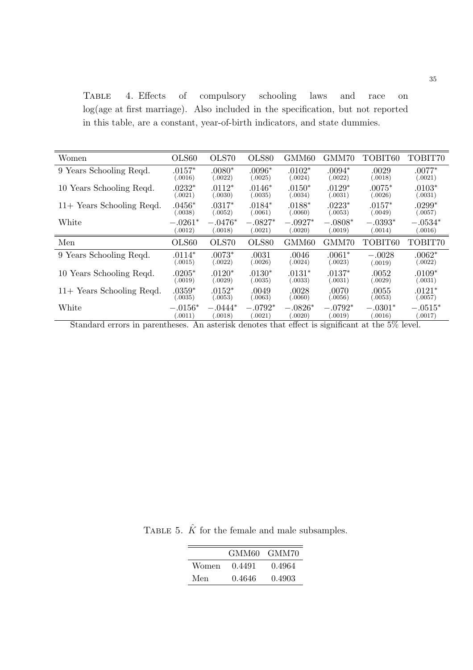<span id="page-36-0"></span>Table 4. Effects of compulsory schooling laws and race on log(age at first marriage). Also included in the specification, but not reported in this table, are a constant, year-of-birth indicators, and state dummies.

| Women                                                     | OLS60                              | OLS70                | OLS80                | GMM60                | GMM70                | TOBIT60                        | TOBIT70               |
|-----------------------------------------------------------|------------------------------------|----------------------|----------------------|----------------------|----------------------|--------------------------------|-----------------------|
| 9 Years Schooling Reqd.                                   | $.0157^*$                          | $.0080*$             | $.0096*$             | $.0102*$             | $.0094*$             | .0029                          | $.0077^*$             |
|                                                           | (.0016)                            | (.0022)              | (.0025)              | (.0024)              | (.0022)              | (.0018)                        | (.0021)               |
| 10 Years Schooling Reqd.                                  | $.0232*$                           | $.0112*$             | $.0146*$             | $.0150*$             | $.0129*$             | $.0075*$                       | $.0103*$              |
|                                                           | (.0021)                            | (.0030)              | (.0035)              | (.0034)              | (.0031)              | (.0026)                        | (.0031)               |
| $11+$ Years Schooling Reqd.                               | $.0456*$                           | $.0317*$             | $.0184*$             | $.0188*$             | $.0223*$             | $.0157*$                       | $.0299^*$             |
|                                                           | (.0038)                            | (.0052)              | (.0061)              | (.0060)              | (.0053)              | (.0049)                        | (.0057)               |
| White                                                     | $-.0261*$                          | $-.0476*$            | $-.0827*$            | $-.0927*$            | $-.0808*$            | $-.0393*$                      | $-.0534^{*}$          |
|                                                           | 0.0012)                            | (.0018)              | (.0021)              | 0.0020)              | 0.0019               | (.0014)                        | (.0016)               |
| Men                                                       | OLS60                              | OLS70                | OLS80                | GMM60                | GMM70                | TOBIT60                        | TOBIT70               |
| 9 Years Schooling Reqd.                                   | $.0114*$                           | $.0073*$             | .0031                | .0046                | $.0061*$             | $-.0028$                       | $.0062*$              |
|                                                           | (.0015)                            | (.0022)              | (.0026)              | (.0024)              | (.0023)              | (.0019)                        | (.0022)               |
| 10 Years Schooling Reqd.                                  | $.0205*$                           | $.0120*$             | $.0130*$             | $.0131*$             | $.0137*$             | .0052                          | $.0109*$              |
|                                                           | (.0019)                            | (.0029)              | (.0035)              | (.0033)              | (.0031)              | (.0029)                        | (.0031)               |
| $11+$ Years Schooling Reqd.                               | $.0359*$                           | $.0152*$             | .0049                | .0028                | .0070                | .0055                          | $.0121*$              |
|                                                           | (.0035)                            | (.0053)              | (.0063)              | (.0060)              | (.0056)              | (.0053)                        | (.0057)               |
| White<br>$\sim$ $\sim$<br>$\mathbf{L}$<br>$\bullet$<br>п. | $-.0156*$<br>(.0011)<br>$\cdot$ 1. | $-.0444*$<br>0.0018) | $-.0792*$<br>(.0021) | $-.0826*$<br>0.0020) | $-.0792*$<br>0.0019) | $-.0301*$<br>(.0016)<br>$-0<1$ | $-.0515^*$<br>(.0017) |

Standard errors in parentheses. An asterisk denotes that effect is significant at the 5% level.

TABLE 5.  $\hat{K}$  for the female and male subsamples.

|       |        | GMM60 GMM70 |
|-------|--------|-------------|
| Women | 0.4491 | 0.4964      |
| Men   | 0.4646 | 0.4903      |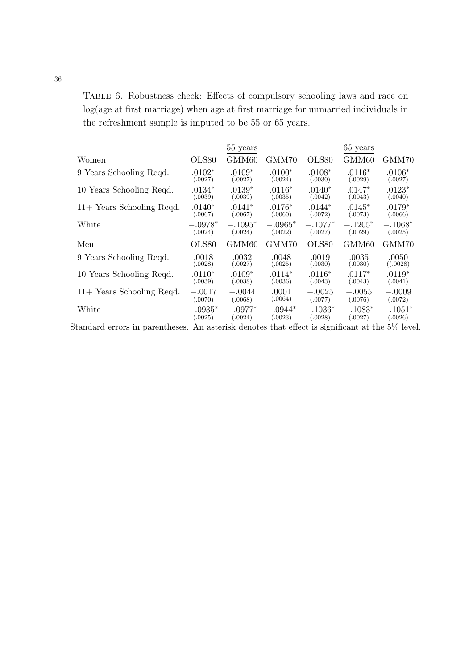<span id="page-37-0"></span>Table 6. Robustness check: Effects of compulsory schooling laws and race on log(age at first marriage) when age at first marriage for unmarried individuals in the refreshment sample is imputed to be 55 or 65 years.

|                                      |                      | 55 years             |                              |                      | 65 years             |                                        |
|--------------------------------------|----------------------|----------------------|------------------------------|----------------------|----------------------|----------------------------------------|
| Women                                | OLS80                | GMM60                | GMM70                        | OLS80                | GMM60                | GMM70                                  |
| 9 Years Schooling Reqd.              | $.0102*$             | $.0109*$             | $.0100*$                     | $.0108*$             | $.0116*$             | $.0106*$                               |
|                                      | (.0027)              | (.0027)              | (.0024)                      | (.0030)              | (.0029)              | (.0027)                                |
| 10 Years Schooling Reqd.             | $.0134^{*}$          | $.0139*$             | $.0116*$                     | $.0140*$             | $.0147*$             | $.0123*$                               |
|                                      | (.0039)              | (.0039)              | (.0035)                      | (.0042)              | (.0043)              | (.0040)                                |
| $11+$ Years Schooling Reqd.          | $.0140*$             | $.0141*$             | $.0176*$                     | $.0144*$             | $.0145*$             | $.0179^*$                              |
|                                      | (.0067)              | (.0067)              | (.0060)                      | (.0072)              | (.0073)              | (.0066)                                |
| $\rm White$                          | $-.0978*$            | $-.1095*$            | $-.0965*$                    | $-.1077*$            | $-.1205*$            | $-.1068*$                              |
|                                      | (.0024)              | (.0024)              | (.0022)                      | (.0027)              | (.0029)              | (.0025)                                |
| Men                                  | OLS80                | GMM60                | GMM70                        | OLS80                | GMM60                | GMM70                                  |
| 9 Years Schooling Reqd.              | .0018                | .0032                | .0048                        | .0019                | .0035                | .0050                                  |
|                                      | (.0028)              | (.0027)              | (.0025)                      | (.0030)              | (.0030)              | ((.0028)                               |
| 10 Years Schooling Reqd.             | $.0110*$             | $.0109*$             | $.0114*$                     | $.0116*$             | $.0117*$             | $.0119*$                               |
|                                      | (.0039)              | (.0038)              | (.0036)                      | (.0043)              | (.0043)              | (.0041)                                |
| $11+$ Years Schooling Reqd.          | $-.0017$             | $-.0044$             | .0001                        | $-.0025$             | $-.0055$             | $-.0009$                               |
|                                      | (.0070)              | (.0068)              | (.0064)                      | (.0077)              | (.0076)              | (.0072)                                |
| White<br>$\sim$ 1.1<br>$\sim$ $\sim$ | $-.0935^*$<br>.0025) | $-.0977*$<br>(.0024) | $-.0944*$<br>0023)<br>$\sim$ | $-.1036*$<br>0.0028) | $-.1083*$<br>(.0027) | $-.1051*$<br>(.0026)<br>$-\sim$ $\sim$ |

Standard errors in parentheses. An asterisk denotes that effect is significant at the 5% level.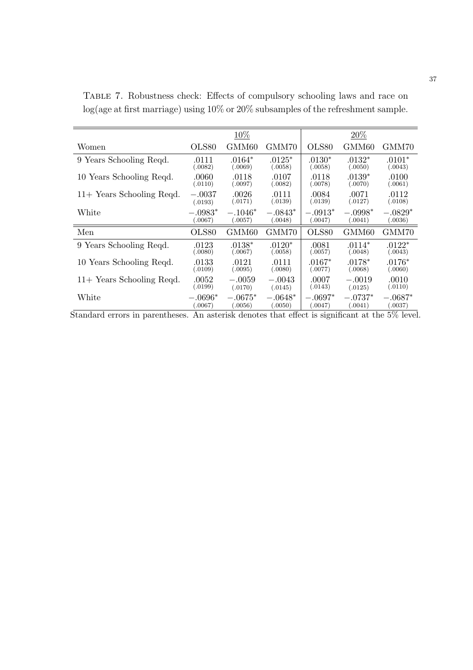|                           |           | 10%       |           |           | 20%       |           |
|---------------------------|-----------|-----------|-----------|-----------|-----------|-----------|
| Women                     | OLS80     | GMM60     | GMM70     | OLS80     | GMM60     | GMM70     |
| 9 Years Schooling Reqd.   | .0111     | $.0164*$  | $.0125*$  | $.0130*$  | $.0132*$  | $.0101*$  |
|                           | (.0082)   | (.0069)   | (.0058)   | (.0058)   | (.0050)   | (.0043)   |
| 10 Years Schooling Reqd.  | .0060     | .0118     | .0107     | .0118     | $.0139*$  | .0100     |
|                           | (.0110)   | (.0097)   | (.0082)   | (.0078)   | (.0070)   | (.0061)   |
| 11+ Years Schooling Reqd. | $-.0037$  | .0026     | .0111     | .0084     | .0071     | .0112     |
|                           | (.0193)   | (.0171)   | (.0139)   | (.0139)   | (.0127)   | (.0108)   |
| White                     | $-.0983*$ | $-.1046*$ | $-.0843*$ | $-.0913*$ | $-.0998*$ | $-.0829*$ |
|                           | .0067)    | (.0057)   | (.0048)   | 0.0047)   | 0.0041)   | .0036)    |
| Men                       | OLS80     | GMM60     | GMM70     | OLS80     | GMM60     | GMM70     |
| 9 Years Schooling Reqd.   | .0123     | $.0138*$  | $.0120*$  | .0081     | $.0114*$  | $.0122*$  |
|                           | (.0080)   | (.0067)   | (.0058)   | (.0057)   | (.0048)   | (.0043)   |
| 10 Years Schooling Reqd.  | .0133     | .0121     | .0111     | $.0167*$  | $.0178*$  | $.0176^*$ |
|                           | (.0109)   | (.0095)   | (.0080)   | (.0077)   | (.0068)   | (.0060)   |
| 11+ Years Schooling Reqd. | .0052     | $-.0059$  | $-.0043$  | .0007     | $-.0019$  | .0010     |
|                           | (.0199)   | (.0170)   | (.0145)   | (.0143)   | (.0125)   | (.0110)   |
| White                     | $-.0696*$ | $-.0675*$ | $-.0648*$ | $-.0697*$ | $-.0737*$ | $-.0687*$ |
|                           | (.0067)   | (.0056)   | (.0050)   | (.0047)   | (.0041)   | (.0037)   |

<span id="page-38-0"></span>Table 7. Robustness check: Effects of compulsory schooling laws and race on log(age at first marriage) using 10% or 20% subsamples of the refreshment sample.

Standard errors in parentheses. An asterisk denotes that effect is significant at the 5% level.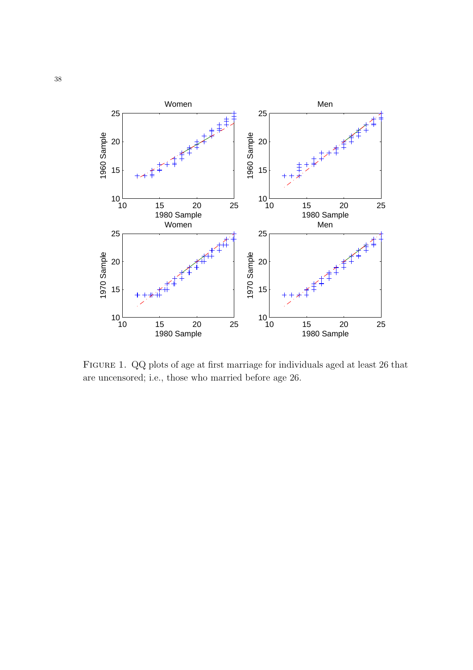<span id="page-39-0"></span>

Figure 1. QQ plots of age at first marriage for individuals aged at least 26 that are uncensored; i.e., those who married before age 26.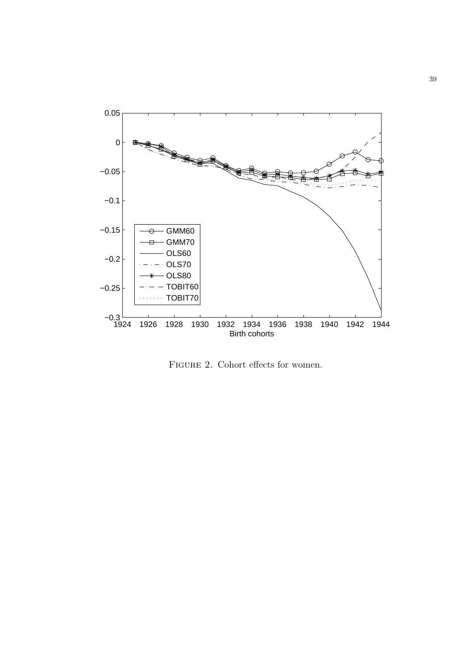<span id="page-40-0"></span>

FIGURE 2. Cohort effects for women.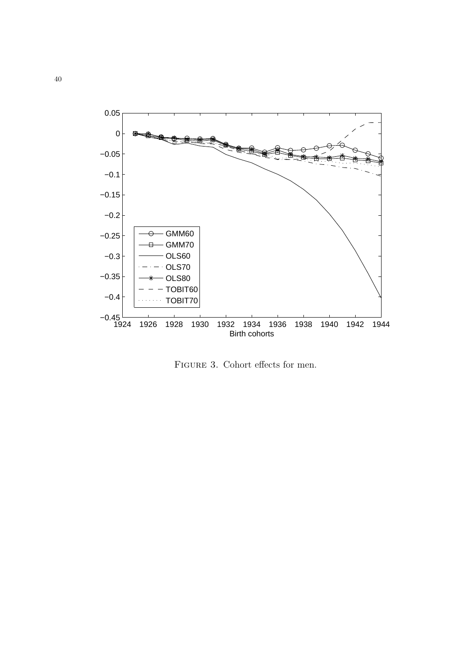<span id="page-41-0"></span>

FIGURE 3. Cohort effects for men.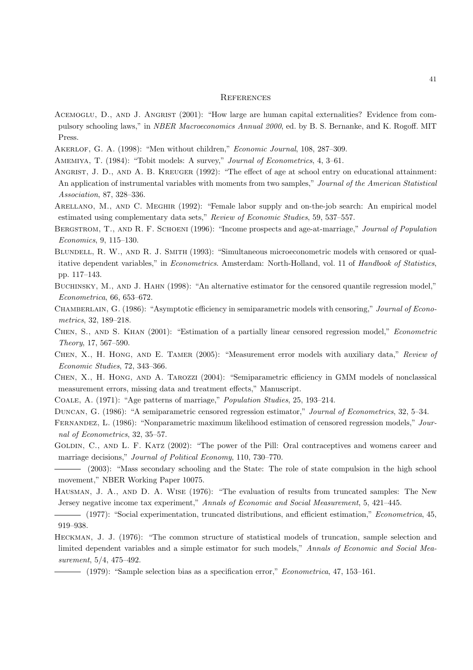#### **REFERENCES**

- ACEMOGLU, D., AND J. ANGRIST (2001): "How large are human capital externalities? Evidence from compulsory schooling laws," in NBER Macroeconomics Annual 2000, ed. by B. S. Bernanke, and K. Rogoff. MIT Press.
- Akerlof, G. A. (1998): "Men without children," Economic Journal, 108, 287–309.
- AMEMIYA, T. (1984): "Tobit models: A survey," Journal of Econometrics, 4, 3-61.
- ANGRIST, J. D., AND A. B. KREUGER (1992): "The effect of age at school entry on educational attainment: An application of instrumental variables with moments from two samples," Journal of the American Statistical Association, 87, 328–336.
- Arellano, M., and C. Meghir (1992): "Female labor supply and on-the-job search: An empirical model estimated using complementary data sets," Review of Economic Studies, 59, 537–557.
- BERGSTROM, T., AND R. F. SCHOENI (1996): "Income prospects and age-at-marriage," Journal of Population Economics, 9, 115–130.
- BLUNDELL, R. W., AND R. J. SMITH (1993): "Simultaneous microeconometric models with censored or qualitative dependent variables," in Econometrics. Amsterdam: North-Holland, vol. 11 of Handbook of Statistics, pp. 117–143.
- BUCHINSKY, M., AND J. HAHN (1998): "An alternative estimator for the censored quantile regression model," Econometrica, 66, 653–672.
- CHAMBERLAIN, G. (1986): "Asymptotic efficiency in semiparametric models with censoring," Journal of Econometrics, 32, 189–218.
- Chen, S., and S. Khan (2001): "Estimation of a partially linear censored regression model," Econometric Theory, 17, 567–590.
- Chen, X., H. Hong, and E. Tamer (2005): "Measurement error models with auxiliary data," Review of Economic Studies, 72, 343–366.
- Chen, X., H. Hong, and A. Tarozzi (2004): "Semiparametric efficiency in GMM models of nonclassical measurement errors, missing data and treatment effects," Manuscript.
- Coale, A. (1971): "Age patterns of marriage," Population Studies, 25, 193–214.
- Duncan, G. (1986): "A semiparametric censored regression estimator," Journal of Econometrics, 32, 5–34.
- Fernandez, L. (1986): "Nonparametric maximum likelihood estimation of censored regression models," Journal of Econometrics, 32, 35–57.
- GOLDIN, C., AND L. F. KATZ (2002): "The power of the Pill: Oral contraceptives and womens career and marriage decisions," Journal of Political Economy, 110, 730–770.
- (2003): "Mass secondary schooling and the State: The role of state compulsion in the high school movement," NBER Working Paper 10075.
- Hausman, J. A., and D. A. Wise (1976): "The evaluation of results from truncated samples: The New Jersey negative income tax experiment," Annals of Economic and Social Measurement, 5, 421–445.
- (1977): "Social experimentation, truncated distributions, and efficient estimation," Econometrica, 45, 919–938.
- Heckman, J. J. (1976): "The common structure of statistical models of truncation, sample selection and limited dependent variables and a simple estimator for such models," Annals of Economic and Social Measurement, 5/4, 475–492.
	- $-$  (1979): "Sample selection bias as a specification error," *Econometrica*, 47, 153–161.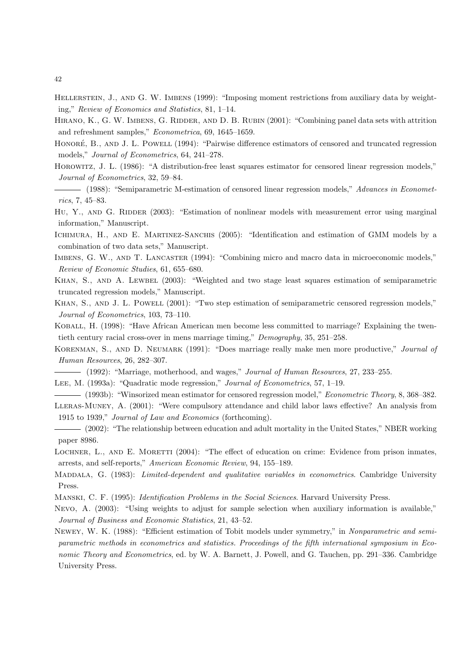- HELLERSTEIN, J., AND G. W. IMBENS (1999): "Imposing moment restrictions from auxiliary data by weighting," Review of Economics and Statistics, 81, 1–14.
- HIRANO, K., G. W. IMBENS, G. RIDDER, AND D. B. RUBIN (2001): "Combining panel data sets with attrition and refreshment samples," Econometrica, 69, 1645–1659.
- HONORÉ, B., AND J. L. POWELL (1994): "Pairwise difference estimators of censored and truncated regression models," Journal of Econometrics, 64, 241–278.
- Horowitz, J. L. (1986): "A distribution-free least squares estimator for censored linear regression models," Journal of Econometrics, 32, 59–84.
- (1988): "Semiparametric M-estimation of censored linear regression models," *Advances in Economet*rics, 7, 45–83.
- HU, Y., AND G. RIDDER (2003): "Estimation of nonlinear models with measurement error using marginal information," Manuscript.
- ICHIMURA, H., AND E. MARTINEZ-SANCHIS (2005): "Identification and estimation of GMM models by a combination of two data sets," Manuscript.
- IMBENS, G. W., AND T. LANCASTER (1994): "Combining micro and macro data in microeconomic models," Review of Economic Studies, 61, 655–680.
- Khan, S., and A. Lewbel (2003): "Weighted and two stage least squares estimation of semiparametric truncated regression models," Manuscript.
- KHAN, S., AND J. L. POWELL (2001): "Two step estimation of semiparametric censored regression models," Journal of Econometrics, 103, 73–110.
- Koball, H. (1998): "Have African American men become less committed to marriage? Explaining the twentieth century racial cross-over in mens marriage timing," Demography, 35, 251–258.
- KORENMAN, S., AND D. NEUMARK (1991): "Does marriage really make men more productive," Journal of Human Resources, 26, 282–307.
	- $-$  (1992): "Marriage, motherhood, and wages," Journal of Human Resources, 27, 233–255.
- Lee, M. (1993a): "Quadratic mode regression," Journal of Econometrics, 57, 1–19.
- (1993b): "Winsorized mean estimator for censored regression model," Econometric Theory, 8, 368–382. Lleras-Muney, A. (2001): "Were compulsory attendance and child labor laws effective? An analysis from
- 1915 to 1939," Journal of Law and Economics (forthcoming).
- (2002): "The relationship between education and adult mortality in the United States," NBER working paper 8986.
- LOCHNER, L., AND E. MORETTI (2004): "The effect of education on crime: Evidence from prison inmates, arrests, and self-reports," American Economic Review, 94, 155–189.
- MADDALA, G. (1983): Limited-dependent and qualitative variables in econometrics. Cambridge University Press.
- Manski, C. F. (1995): Identification Problems in the Social Sciences. Harvard University Press.
- Nevo, A. (2003): "Using weights to adjust for sample selection when auxiliary information is available," Journal of Business and Economic Statistics, 21, 43–52.
- Newey, W. K. (1988): "Efficient estimation of Tobit models under symmetry," in Nonparametric and semiparametric methods in econometrics and statistics. Proceedings of the fifth international symposium in Economic Theory and Econometrics, ed. by W. A. Barnett, J. Powell, and G. Tauchen, pp. 291–336. Cambridge University Press.